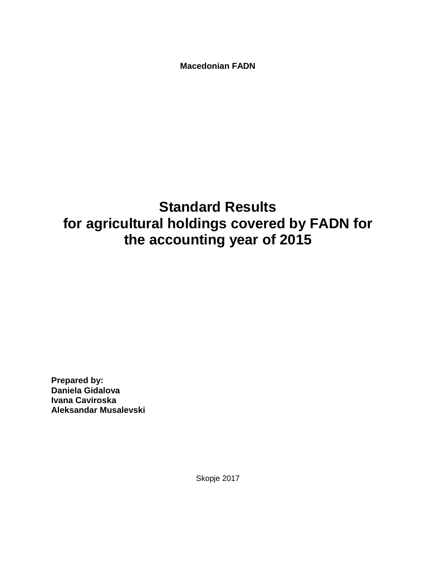**Macedonian FADN**

# **Standard Results for agricultural holdings covered by FADN for the accounting year of 2015**

**Prepared by: Daniela Gidalova Ivana Caviroska Aleksandar Musalevski**

Skopje 2017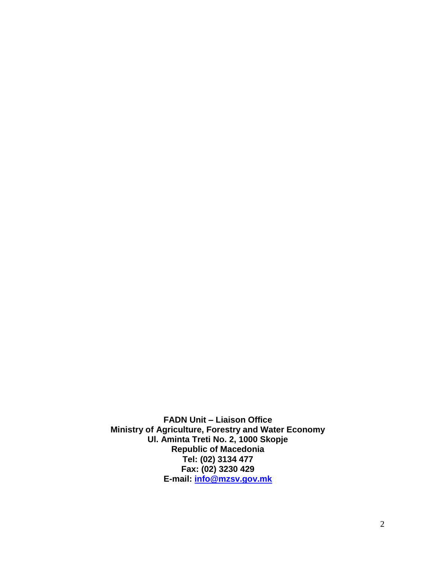**FADN Unit – Liaison Office Ministry of Agriculture, Forestry and Water Economy Ul. Aminta Treti No. 2, 1000 Skopje Republic of Macedonia Tel: (02) 3134 477 Fax: (02) 3230 429 E-mail: [info@mzsv.gov.mk](mailto:info@mzsv.gov.mk)**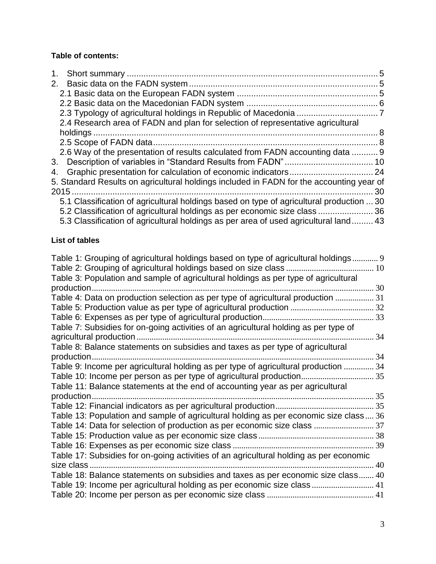### **Table of contents:**

| 2.4 Research area of FADN and plan for selection of representative agricultural          |    |
|------------------------------------------------------------------------------------------|----|
|                                                                                          |    |
|                                                                                          |    |
| 2.6 Way of the presentation of results calculated from FADN accounting data  9           |    |
|                                                                                          |    |
|                                                                                          |    |
| 5. Standard Results on agricultural holdings included in FADN for the accounting year of |    |
|                                                                                          | 30 |
| 5.1 Classification of agricultural holdings based on type of agricultural production  30 |    |
| 5.2 Classification of agricultural holdings as per economic size class  36               |    |
| 5.3 Classification of agricultural holdings as per area of used agricultural land 43     |    |

# **List of tables**

| Table 1: Grouping of agricultural holdings based on type of agricultural holdings 9    |    |
|----------------------------------------------------------------------------------------|----|
| Table 3: Population and sample of agricultural holdings as per type of agricultural    |    |
| production.                                                                            | 30 |
| Table 4: Data on production selection as per type of agricultural production  31       |    |
|                                                                                        |    |
|                                                                                        |    |
| Table 7: Subsidies for on-going activities of an agricultural holding as per type of   |    |
| agricultural production                                                                | 34 |
| Table 8: Balance statements on subsidies and taxes as per type of agricultural         |    |
|                                                                                        | 34 |
| Table 9: Income per agricultural holding as per type of agricultural production  34    |    |
| Table 10: Income per person as per type of agricultural production                     | 35 |
| Table 11: Balance statements at the end of accounting year as per agricultural         |    |
|                                                                                        |    |
|                                                                                        |    |
| Table 13: Population and sample of agricultural holding as per economic size class 36  |    |
| Table 14: Data for selection of production as per economic size class  37              |    |
|                                                                                        |    |
|                                                                                        |    |
| Table 17: Subsidies for on-going activities of an agricultural holding as per economic |    |
| size class                                                                             | 40 |
| Table 18: Balance statements on subsidies and taxes as per economic size class 40      |    |
| Table 19: Income per agricultural holding as per economic size class  41               |    |
|                                                                                        |    |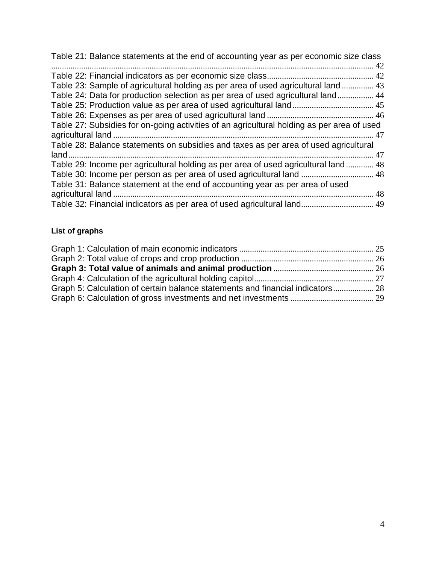| Table 21: Balance statements at the end of accounting year as per economic size class      |  |
|--------------------------------------------------------------------------------------------|--|
|                                                                                            |  |
|                                                                                            |  |
| Table 23: Sample of agricultural holding as per area of used agricultural land  43         |  |
| Table 24: Data for production selection as per area of used agricultural land 44           |  |
|                                                                                            |  |
|                                                                                            |  |
| Table 27: Subsidies for on-going activities of an agricultural holding as per area of used |  |
|                                                                                            |  |
| Table 28: Balance statements on subsidies and taxes as per area of used agricultural       |  |
|                                                                                            |  |
| Table 29: Income per agricultural holding as per area of used agricultural land 48         |  |
| Table 30: Income per person as per area of used agricultural land  48                      |  |
| Table 31: Balance statement at the end of accounting year as per area of used              |  |
|                                                                                            |  |
| Table 32: Financial indicators as per area of used agricultural land 49                    |  |

# **List of graphs**

| Graph 5: Calculation of certain balance statements and financial indicators 28 |  |
|--------------------------------------------------------------------------------|--|
|                                                                                |  |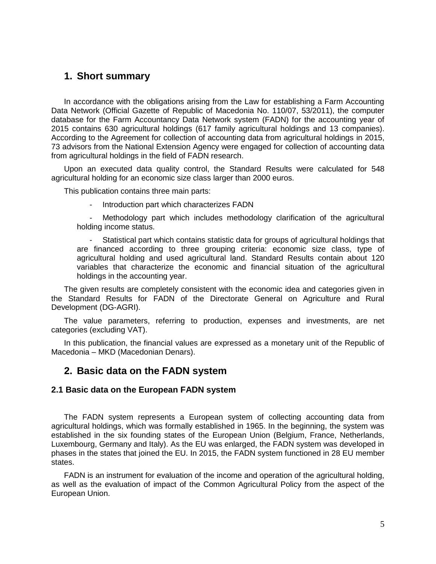### <span id="page-4-0"></span>**1. Short summary**

In accordance with the obligations arising from the Law for establishing a Farm Accounting Data Network (Official Gazette of Republic of Macedonia No. 110/07, 53/2011), the computer database for the Farm Accountancy Data Network system (FADN) for the accounting year of 2015 contains 630 agricultural holdings (617 family agricultural holdings and 13 companies). According to the Agreement for collection of accounting data from agricultural holdings in 2015, 73 advisors from the National Extension Agency were engaged for collection of accounting data from agricultural holdings in the field of FADN research.

Upon an executed data quality control, the Standard Results were calculated for 548 agricultural holding for an economic size class larger than 2000 euros.

This publication contains three main parts:

Introduction part which characterizes FADN

Methodology part which includes methodology clarification of the agricultural holding income status.

- Statistical part which contains statistic data for groups of agricultural holdings that are financed according to three grouping criteria: economic size class, type of agricultural holding and used agricultural land. Standard Results contain about 120 variables that characterize the economic and financial situation of the agricultural holdings in the accounting year.

The given results are completely consistent with the economic idea and categories given in the Standard Results for FADN of the Directorate General on Agriculture and Rural Development (DG-AGRI).

The value parameters, referring to production, expenses and investments, are net categories (excluding VAT).

In this publication, the financial values are expressed as a monetary unit of the Republic of Macedonia – MKD (Macedonian Denars).

### <span id="page-4-1"></span>**2. Basic data on the FADN system**

#### <span id="page-4-2"></span>**2.1 Basic data on the European FADN system**

The FADN system represents a European system of collecting accounting data from agricultural holdings, which was formally established in 1965. In the beginning, the system was established in the six founding states of the European Union (Belgium, France, Netherlands, Luxembourg, Germany and Italy). As the EU was enlarged, the FADN system was developed in phases in the states that joined the EU. In 2015, the FADN system functioned in 28 EU member states.

FADN is an instrument for evaluation of the income and operation of the agricultural holding, as well as the evaluation of impact of the Common Agricultural Policy from the aspect of the European Union.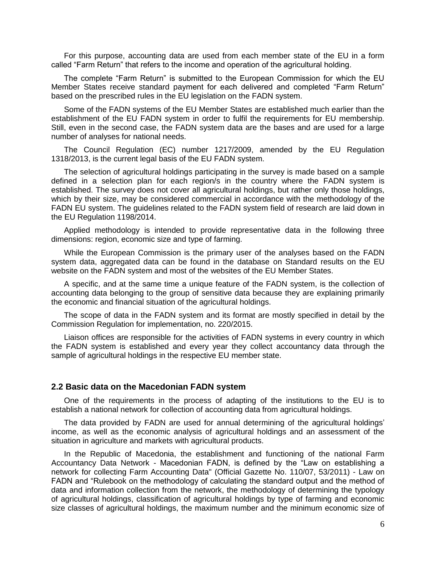For this purpose, accounting data are used from each member state of the EU in a form called "Farm Return" that refers to the income and operation of the agricultural holding.

The complete "Farm Return" is submitted to the European Commission for which the EU Member States receive standard payment for each delivered and completed "Farm Return" based on the prescribed rules in the EU legislation on the FADN system.

Some of the FADN systems of the EU Member States are established much earlier than the establishment of the EU FADN system in order to fulfil the requirements for EU membership. Still, even in the second case, the FADN system data are the bases and are used for a large number of analyses for national needs.

The Council Regulation (EC) number 1217/2009, amended by the EU Regulation 1318/2013, is the current legal basis of the EU FADN system.

The selection of agricultural holdings participating in the survey is made based on a sample defined in a selection plan for each region/s in the country where the FADN system is established. The survey does not cover all agricultural holdings, but rather only those holdings, which by their size, may be considered commercial in accordance with the methodology of the FADN EU system. The guidelines related to the FADN system field of research are laid down in the EU Regulation 1198/2014.

Applied methodology is intended to provide representative data in the following three dimensions: region, economic size and type of farming.

While the European Commission is the primary user of the analyses based on the FADN system data, aggregated data can be found in the database on Standard results on the EU website on the FADN system and most of the websites of the EU Member States.

A specific, and at the same time a unique feature of the FADN system, is the collection of accounting data belonging to the group of sensitive data because they are explaining primarily the economic and financial situation of the agricultural holdings.

The scope of data in the FADN system and its format are mostly specified in detail by the Commission Regulation for implementation, no. 220/2015.

Liaison offices are responsible for the activities of FADN systems in every country in which the FADN system is established and every year they collect accountancy data through the sample of agricultural holdings in the respective EU member state.

#### <span id="page-5-0"></span>**2.2 Basic data on the Macedonian FADN system**

One of the requirements in the process of adapting of the institutions to the EU is to establish a national network for collection of accounting data from agricultural holdings.

The data provided by FADN are used for annual determining of the agricultural holdings' income, as well as the economic analysis of agricultural holdings and an assessment of the situation in agriculture and markets with agricultural products.

In the Republic of Macedonia, the establishment and functioning of the national Farm Accountancy Data Network - Macedonian FADN, is defined by the "Law on establishing a network for collecting Farm Accounting Data" (Official Gazette No. 110/07, 53/2011) - Law on FADN and "Rulebook on the methodology of calculating the standard output and the method of data and information collection from the network, the methodology of determining the typology of agricultural holdings, classification of agricultural holdings by type of farming and economic size classes of agricultural holdings, the maximum number and the minimum economic size of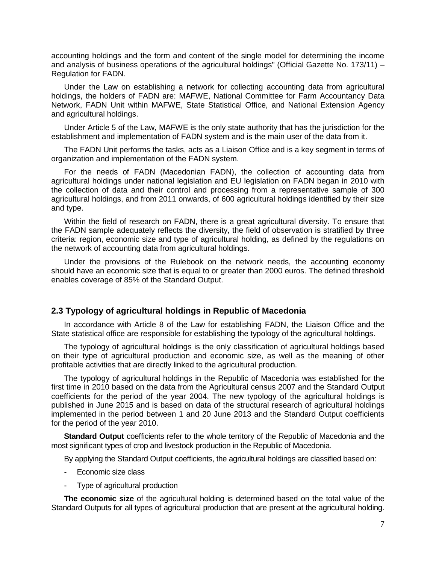accounting holdings and the form and content of the single model for determining the income and analysis of business operations of the agricultural holdings" (Official Gazette No. 173/11) – Regulation for FADN.

Under the Law on establishing a network for collecting accounting data from agricultural holdings, the holders of FADN are: MAFWE, National Committee for Farm Accountancy Data Network, FADN Unit within MAFWE, State Statistical Office, and National Extension Agency and agricultural holdings.

Under Article 5 of the Law, MAFWE is the only state authority that has the jurisdiction for the establishment and implementation of FADN system and is the main user of the data from it.

The FADN Unit performs the tasks, acts as a Liaison Office and is a key segment in terms of organization and implementation of the FADN system.

For the needs of FADN (Macedonian FADN), the collection of accounting data from agricultural holdings under national legislation and EU legislation on FADN began in 2010 with the collection of data and their control and processing from a representative sample of 300 agricultural holdings, and from 2011 onwards, of 600 agricultural holdings identified by their size and type.

Within the field of research on FADN, there is a great agricultural diversity. To ensure that the FADN sample adequately reflects the diversity, the field of observation is stratified by three criteria: region, economic size and type of agricultural holding, as defined by the regulations on the network of accounting data from agricultural holdings.

Under the provisions of the Rulebook on the network needs, the accounting economy should have an economic size that is equal to or greater than 2000 euros. The defined threshold enables coverage of 85% of the Standard Output.

#### <span id="page-6-0"></span>**2.3 Typology of agricultural holdings in Republic of Macedonia**

In accordance with Article 8 of the Law for establishing FADN, the Liaison Office and the State statistical office are responsible for establishing the typology of the agricultural holdings.

The typology of agricultural holdings is the only classification of agricultural holdings based on their type of agricultural production and economic size, as well as the meaning of other profitable activities that are directly linked to the agricultural production.

The typology of agricultural holdings in the Republic of Macedonia was established for the first time in 2010 based on the data from the Agricultural census 2007 and the Standard Output coefficients for the period of the year 2004. The new typology of the agricultural holdings is published in June 2015 and is based on data of the structural research of agricultural holdings implemented in the period between 1 and 20 June 2013 and the Standard Output coefficients for the period of the year 2010.

**Standard Output** coefficients refer to the whole territory of the Republic of Macedonia and the most significant types of crop and livestock production in the Republic of Macedonia.

By applying the Standard Output coefficients, the agricultural holdings are classified based on:

- Economic size class
- Type of agricultural production

**The economic size** of the agricultural holding is determined based on the total value of the Standard Outputs for all types of agricultural production that are present at the agricultural holding.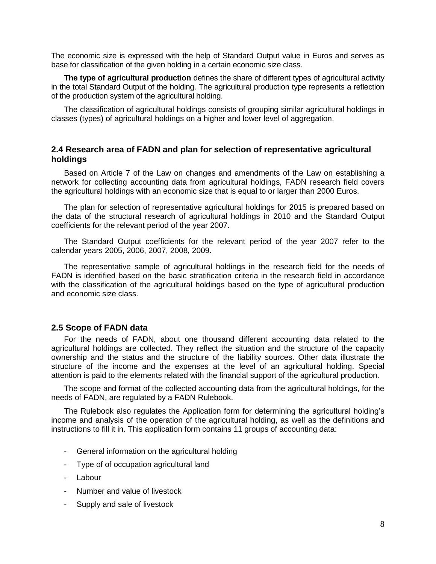The economic size is expressed with the help of Standard Output value in Euros and serves as base for classification of the given holding in a certain economic size class.

**The type of agricultural production** defines the share of different types of agricultural activity in the total Standard Output of the holding. The agricultural production type represents a reflection of the production system of the agricultural holding.

The classification of agricultural holdings consists of grouping similar agricultural holdings in classes (types) of agricultural holdings on a higher and lower level of aggregation.

#### <span id="page-7-0"></span>**2.4 Research area of FADN and plan for selection of representative agricultural holdings**

Based on Article 7 of the Law on changes and amendments of the Law on establishing a network for collecting accounting data from agricultural holdings, FADN research field covers the agricultural holdings with an economic size that is equal to or larger than 2000 Euros.

The plan for selection of representative agricultural holdings for 2015 is prepared based on the data of the structural research of agricultural holdings in 2010 and the Standard Output coefficients for the relevant period of the year 2007.

The Standard Output coefficients for the relevant period of the year 2007 refer to the calendar years 2005, 2006, 2007, 2008, 2009.

The representative sample of agricultural holdings in the research field for the needs of FADN is identified based on the basic stratification criteria in the research field in accordance with the classification of the agricultural holdings based on the type of agricultural production and economic size class.

#### <span id="page-7-1"></span>**2.5 Scope of FADN data**

For the needs of FADN, about one thousand different accounting data related to the agricultural holdings are collected. They reflect the situation and the structure of the capacity ownership and the status and the structure of the liability sources. Other data illustrate the structure of the income and the expenses at the level of an agricultural holding. Special attention is paid to the elements related with the financial support of the agricultural production.

The scope and format of the collected accounting data from the agricultural holdings, for the needs of FADN, are regulated by a FADN Rulebook.

The Rulebook also regulates the Application form for determining the agricultural holding's income and analysis of the operation of the agricultural holding, as well as the definitions and instructions to fill it in. This application form contains 11 groups of accounting data:

- General information on the agricultural holding
- Type of of occupation agricultural land
- Labour
- Number and value of livestock
- Supply and sale of livestock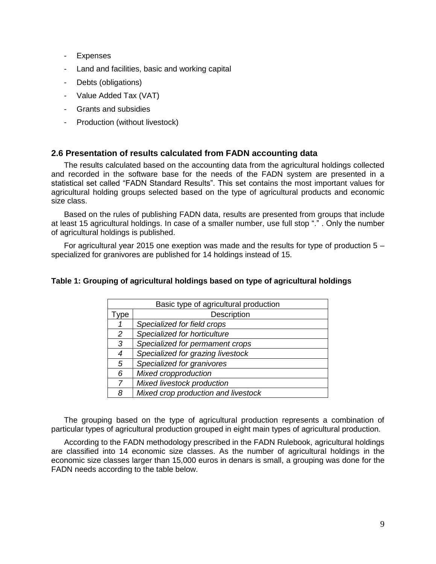- Expenses
- Land and facilities, basic and working capital
- Debts (obligations)
- Value Added Tax (VAT)
- Grants and subsidies
- Production (without livestock)

#### <span id="page-8-0"></span>**2.6 Presentation of results calculated from FADN accounting data**

The results calculated based on the accounting data from the agricultural holdings collected and recorded in the software base for the needs of the FADN system are presented in a statistical set called "FADN Standard Results". This set contains the most important values for agricultural holding groups selected based on the type of agricultural products and economic size class.

Based on the rules of publishing FADN data, results are presented from groups that include at least 15 agricultural holdings. In case of a smaller number, use full stop "." . Only the number of agricultural holdings is published.

For agricultural year 2015 one exeption was made and the results for type of production  $5$ specialized for granivores are published for 14 holdings instead of 15.

#### <span id="page-8-1"></span>**Table 1: Grouping of agricultural holdings based on type of agricultural holdings**

|               | Basic type of agricultural production |  |  |
|---------------|---------------------------------------|--|--|
| ype           | Description                           |  |  |
|               | Specialized for field crops           |  |  |
| $\mathcal{P}$ | Specialized for horticulture          |  |  |
| 3             | Specialized for permament crops       |  |  |
| 4             | Specialized for grazing livestock     |  |  |
| 5             | Specialized for granivores            |  |  |
| 6             | Mixed cropproduction                  |  |  |
| 7             | Mixed livestock production            |  |  |
| 8             | Mixed crop production and livestock   |  |  |

The grouping based on the type of agricultural production represents a combination of particular types of agricultural production grouped in eight main types of agricultural production.

According to the FADN methodology prescribed in the FADN Rulebook, agricultural holdings are classified into 14 economic size classes. As the number of agricultural holdings in the economic size classes larger than 15,000 euros in denars is small, a grouping was done for the FADN needs according to the table below.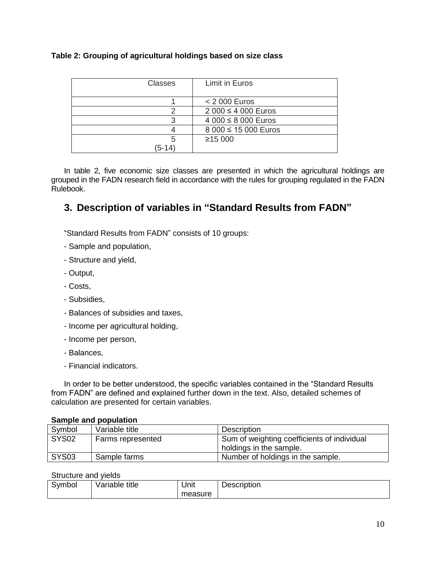#### <span id="page-9-1"></span>**Table 2: Grouping of agricultural holdings based on size class**

| <b>Classes</b> | Limit in Euros       |
|----------------|----------------------|
|                |                      |
|                | < 2 000 Euros        |
|                | 2 000 ≤ 4 000 Euros  |
|                | 4 000 ≤ 8 000 Euros  |
|                | 8 000 ≤ 15 000 Euros |
| 5              | ≥15000               |
| 5-14           |                      |

In table 2, five economic size classes are presented in which the agricultural holdings are grouped in the FADN research field in accordance with the rules for grouping regulated in the FADN Rulebook.

# <span id="page-9-0"></span>**3. Description of variables in "Standard Results from FADN"**

"Standard Results from FADN" consists of 10 groups:

- Sample and population,
- Structure and yield,
- Output,
- Costs,
- Subsidies,
- Balances of subsidies and taxes,
- Income per agricultural holding,
- Income per person,
- Balances,
- Financial indicators.

In order to be better understood, the specific variables contained in the "Standard Results from FADN" are defined and explained further down in the text. Also, detailed schemes of calculation are presented for certain variables.

#### **Sample and population**

| Symbol            | Variable title    | Description                                 |
|-------------------|-------------------|---------------------------------------------|
| SYS <sub>02</sub> | Farms represented | Sum of weighting coefficients of individual |
|                   |                   | holdings in the sample.                     |
| <b>SYS03</b>      | Sample farms      | Number of holdings in the sample.           |

#### Structure and yields

| Svmbol | Variable title | Unit    | -<br>Description |
|--------|----------------|---------|------------------|
|        |                | measure |                  |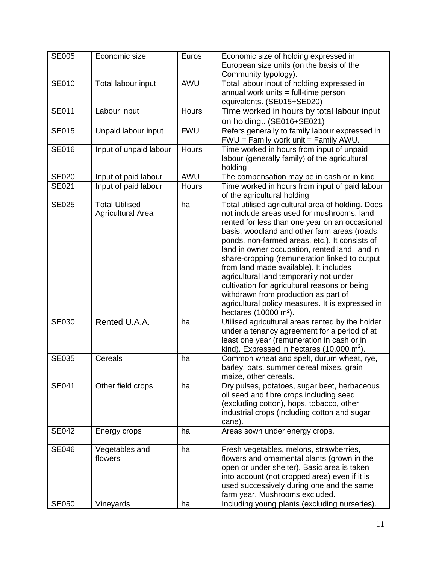| <b>SE005</b> | Economic size                                     | Euros        | Economic size of holding expressed in<br>European size units (on the basis of the<br>Community typology).                                                                                                                                                                                                                                                                                                                                                                                                                                                                                                                     |
|--------------|---------------------------------------------------|--------------|-------------------------------------------------------------------------------------------------------------------------------------------------------------------------------------------------------------------------------------------------------------------------------------------------------------------------------------------------------------------------------------------------------------------------------------------------------------------------------------------------------------------------------------------------------------------------------------------------------------------------------|
| <b>SE010</b> | Total labour input                                | AWU          | Total labour input of holding expressed in<br>annual work units = full-time person<br>equivalents. (SE015+SE020)                                                                                                                                                                                                                                                                                                                                                                                                                                                                                                              |
| <b>SE011</b> | Labour input                                      | Hours        | Time worked in hours by total labour input<br>on holding (SE016+SE021)                                                                                                                                                                                                                                                                                                                                                                                                                                                                                                                                                        |
| <b>SE015</b> | Unpaid labour input                               | <b>FWU</b>   | Refers generally to family labour expressed in<br>FWU = Family work unit = Family AWU.                                                                                                                                                                                                                                                                                                                                                                                                                                                                                                                                        |
| <b>SE016</b> | Input of unpaid labour                            | <b>Hours</b> | Time worked in hours from input of unpaid<br>labour (generally family) of the agricultural<br>holding                                                                                                                                                                                                                                                                                                                                                                                                                                                                                                                         |
| <b>SE020</b> | Input of paid labour                              | AWU          | The compensation may be in cash or in kind                                                                                                                                                                                                                                                                                                                                                                                                                                                                                                                                                                                    |
| SE021        | Input of paid labour                              | <b>Hours</b> | Time worked in hours from input of paid labour<br>of the agricultural holding                                                                                                                                                                                                                                                                                                                                                                                                                                                                                                                                                 |
| <b>SE025</b> | <b>Total Utilised</b><br><b>Agricultural Area</b> | ha           | Total utilised agricultural area of holding. Does<br>not include areas used for mushrooms, land<br>rented for less than one year on an occasional<br>basis, woodland and other farm areas (roads,<br>ponds, non-farmed areas, etc.). It consists of<br>land in owner occupation, rented land, land in<br>share-cropping (remuneration linked to output<br>from land made available). It includes<br>agricultural land temporarily not under<br>cultivation for agricultural reasons or being<br>withdrawn from production as part of<br>agricultural policy measures. It is expressed in<br>hectares (10000 m <sup>2</sup> ). |
| <b>SE030</b> | Rented U.A.A.                                     | ha           | Utilised agricultural areas rented by the holder<br>under a tenancy agreement for a period of at<br>least one year (remuneration in cash or in<br>kind). Expressed in hectares $(10.000 \text{ m}^2)$ .                                                                                                                                                                                                                                                                                                                                                                                                                       |
| <b>SE035</b> | Cereals                                           | ha           | Common wheat and spelt, durum wheat, rye,<br>barley, oats, summer cereal mixes, grain<br>maize, other cereals.                                                                                                                                                                                                                                                                                                                                                                                                                                                                                                                |
| <b>SE041</b> | Other field crops                                 | ha           | Dry pulses, potatoes, sugar beet, herbaceous<br>oil seed and fibre crops including seed<br>(excluding cotton), hops, tobacco, other<br>industrial crops (including cotton and sugar<br>cane).                                                                                                                                                                                                                                                                                                                                                                                                                                 |
| <b>SE042</b> | Energy crops                                      | ha           | Areas sown under energy crops.                                                                                                                                                                                                                                                                                                                                                                                                                                                                                                                                                                                                |
| <b>SE046</b> | Vegetables and<br>flowers                         | ha           | Fresh vegetables, melons, strawberries,<br>flowers and ornamental plants (grown in the<br>open or under shelter). Basic area is taken<br>into account (not cropped area) even if it is<br>used successively during one and the same<br>farm year. Mushrooms excluded.                                                                                                                                                                                                                                                                                                                                                         |
| <b>SE050</b> | Vineyards                                         | ha           | Including young plants (excluding nurseries).                                                                                                                                                                                                                                                                                                                                                                                                                                                                                                                                                                                 |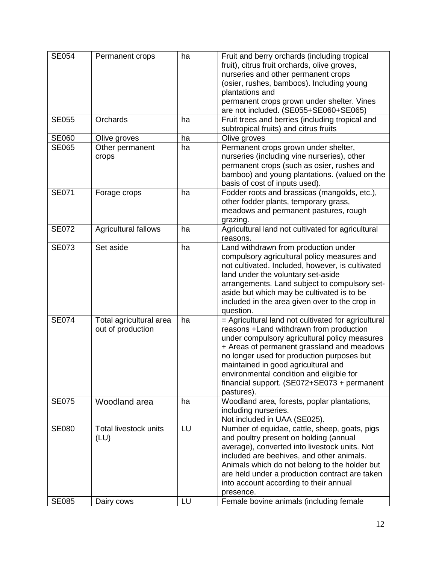| <b>SE054</b>                 | Permanent crops                                    | ha       | Fruit and berry orchards (including tropical<br>fruit), citrus fruit orchards, olive groves,<br>nurseries and other permanent crops<br>(osier, rushes, bamboos). Including young<br>plantations and<br>permanent crops grown under shelter. Vines<br>are not included. (SE055+SE060+SE065)                                                                                                  |
|------------------------------|----------------------------------------------------|----------|---------------------------------------------------------------------------------------------------------------------------------------------------------------------------------------------------------------------------------------------------------------------------------------------------------------------------------------------------------------------------------------------|
| <b>SE055</b>                 | Orchards                                           | ha       | Fruit trees and berries (including tropical and<br>subtropical fruits) and citrus fruits                                                                                                                                                                                                                                                                                                    |
| <b>SE060</b>                 | Olive groves                                       | ha       | Olive groves                                                                                                                                                                                                                                                                                                                                                                                |
| <b>SE065</b>                 | Other permanent<br>crops                           | ha       | Permanent crops grown under shelter,<br>nurseries (including vine nurseries), other<br>permanent crops (such as osier, rushes and<br>bamboo) and young plantations. (valued on the<br>basis of cost of inputs used).                                                                                                                                                                        |
| <b>SE071</b>                 | Forage crops                                       | ha       | Fodder roots and brassicas (mangolds, etc.),<br>other fodder plants, temporary grass,<br>meadows and permanent pastures, rough<br>grazing.                                                                                                                                                                                                                                                  |
| <b>SE072</b>                 | Agricultural fallows                               | ha       | Agricultural land not cultivated for agricultural<br>reasons.                                                                                                                                                                                                                                                                                                                               |
| <b>SE073</b>                 | Set aside                                          | ha       | Land withdrawn from production under<br>compulsory agricultural policy measures and<br>not cultivated. Included, however, is cultivated<br>land under the voluntary set-aside<br>arrangements. Land subject to compulsory set-<br>aside but which may be cultivated is to be<br>included in the area given over to the crop in<br>question.                                                 |
| <b>SE074</b>                 | Total agricultural area<br>out of production       | ha       | = Agricultural land not cultivated for agricultural<br>reasons +Land withdrawn from production<br>under compulsory agricultural policy measures<br>+ Areas of permanent grassland and meadows<br>no longer used for production purposes but<br>maintained in good agricultural and<br>environmental condition and eligible for<br>financial support. (SE072+SE073 + permanent<br>pastures). |
| <b>SE075</b>                 | Woodland area                                      | ha       | Woodland area, forests, poplar plantations,<br>including nurseries.<br>Not included in UAA (SE025).                                                                                                                                                                                                                                                                                         |
| <b>SE080</b><br><b>SE085</b> | <b>Total livestock units</b><br>(LU)<br>Dairy cows | LU<br>LU | Number of equidae, cattle, sheep, goats, pigs<br>and poultry present on holding (annual<br>average), converted into livestock units. Not<br>included are beehives, and other animals.<br>Animals which do not belong to the holder but<br>are held under a production contract are taken<br>into account according to their annual<br>presence.<br>Female bovine animals (including female  |
|                              |                                                    |          |                                                                                                                                                                                                                                                                                                                                                                                             |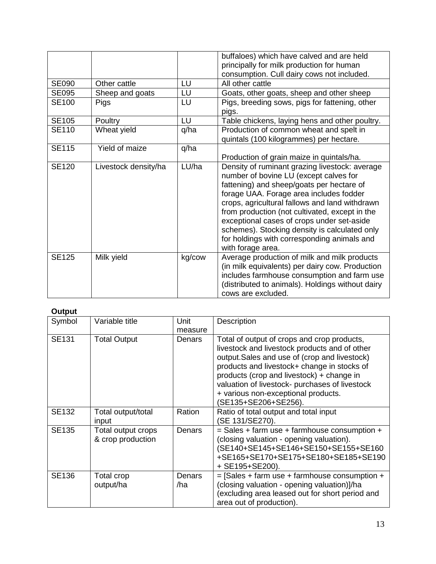|              |                      |        | buffaloes) which have calved and are held<br>principally for milk production for human<br>consumption. Cull dairy cows not included.                                                                                                                                                                                                                                                                                                                    |
|--------------|----------------------|--------|---------------------------------------------------------------------------------------------------------------------------------------------------------------------------------------------------------------------------------------------------------------------------------------------------------------------------------------------------------------------------------------------------------------------------------------------------------|
| <b>SE090</b> | Other cattle         | LU     | All other cattle                                                                                                                                                                                                                                                                                                                                                                                                                                        |
| <b>SE095</b> | Sheep and goats      | LU     | Goats, other goats, sheep and other sheep                                                                                                                                                                                                                                                                                                                                                                                                               |
| <b>SE100</b> | <b>Pigs</b>          | LU     | Pigs, breeding sows, pigs for fattening, other<br>pigs.                                                                                                                                                                                                                                                                                                                                                                                                 |
| <b>SE105</b> | Poultry              | LU     | Table chickens, laying hens and other poultry.                                                                                                                                                                                                                                                                                                                                                                                                          |
| <b>SE110</b> | Wheat yield          | q/ha   | Production of common wheat and spelt in<br>quintals (100 kilogrammes) per hectare.                                                                                                                                                                                                                                                                                                                                                                      |
| <b>SE115</b> | Yield of maize       | q/ha   | Production of grain maize in quintals/ha.                                                                                                                                                                                                                                                                                                                                                                                                               |
| <b>SE120</b> | Livestock density/ha | LU/ha  | Density of ruminant grazing livestock: average<br>number of bovine LU (except calves for<br>fattening) and sheep/goats per hectare of<br>forage UAA. Forage area includes fodder<br>crops, agricultural fallows and land withdrawn<br>from production (not cultivated, except in the<br>exceptional cases of crops under set-aside<br>schemes). Stocking density is calculated only<br>for holdings with corresponding animals and<br>with forage area. |
| <b>SE125</b> | Milk yield           | kg/cow | Average production of milk and milk products<br>(in milk equivalents) per dairy cow. Production<br>includes farmhouse consumption and farm use<br>(distributed to animals). Holdings without dairy<br>cows are excluded.                                                                                                                                                                                                                                |

#### **Output**

| Symbol       | Variable title                          | Unit<br>measure | Description                                                                                                                                                                                                                                                                                                                                               |
|--------------|-----------------------------------------|-----------------|-----------------------------------------------------------------------------------------------------------------------------------------------------------------------------------------------------------------------------------------------------------------------------------------------------------------------------------------------------------|
| <b>SE131</b> | <b>Total Output</b>                     | Denars          | Total of output of crops and crop products,<br>livestock and livestock products and of other<br>output. Sales and use of (crop and livestock)<br>products and livestock+ change in stocks of<br>products (crop and livestock) + change in<br>valuation of livestock- purchases of livestock<br>+ various non-exceptional products.<br>SE135+SE206+SE256). |
| <b>SE132</b> | Total output/total<br>input             | Ration          | Ratio of total output and total input<br>(SE 131/SE270).                                                                                                                                                                                                                                                                                                  |
| <b>SE135</b> | Total output crops<br>& crop production | Denars          | $=$ Sales + farm use + farmhouse consumption +<br>(closing valuation - opening valuation).<br>(SE140+SE145+SE146+SE150+SE155+SE160<br>+SE165+SE170+SE175+SE180+SE185+SE190<br>+ SE195+SE200).                                                                                                                                                             |
| <b>SE136</b> | Total crop<br>output/ha                 | Denars<br>/ha   | $=$ [Sales + farm use + farmhouse consumption +<br>(closing valuation - opening valuation)]/ha<br>(excluding area leased out for short period and<br>area out of production).                                                                                                                                                                             |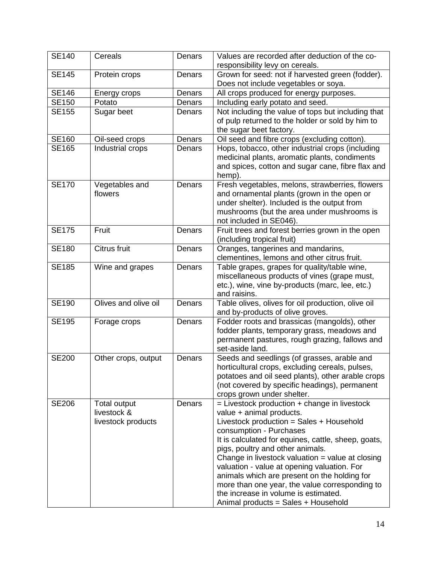| <b>SE140</b> | Cereals                                           | Denars | Values are recorded after deduction of the co-<br>responsibility levy on cereals.                                                                                                                                                                                                                                                                                                                                                                                                                                                    |
|--------------|---------------------------------------------------|--------|--------------------------------------------------------------------------------------------------------------------------------------------------------------------------------------------------------------------------------------------------------------------------------------------------------------------------------------------------------------------------------------------------------------------------------------------------------------------------------------------------------------------------------------|
| <b>SE145</b> | Protein crops                                     | Denars | Grown for seed: not if harvested green (fodder).<br>Does not include vegetables or soya.                                                                                                                                                                                                                                                                                                                                                                                                                                             |
| <b>SE146</b> | Energy crops                                      | Denars | All crops produced for energy purposes.                                                                                                                                                                                                                                                                                                                                                                                                                                                                                              |
| <b>SE150</b> | Potato                                            | Denars | Including early potato and seed.                                                                                                                                                                                                                                                                                                                                                                                                                                                                                                     |
| <b>SE155</b> | Sugar beet                                        | Denars | Not including the value of tops but including that<br>of pulp returned to the holder or sold by him to<br>the sugar beet factory.                                                                                                                                                                                                                                                                                                                                                                                                    |
| <b>SE160</b> | Oil-seed crops                                    | Denars | Oil seed and fibre crops (excluding cotton).                                                                                                                                                                                                                                                                                                                                                                                                                                                                                         |
| <b>SE165</b> | Industrial crops                                  | Denars | Hops, tobacco, other industrial crops (including<br>medicinal plants, aromatic plants, condiments<br>and spices, cotton and sugar cane, fibre flax and<br>hemp).                                                                                                                                                                                                                                                                                                                                                                     |
| <b>SE170</b> | Vegetables and<br>flowers                         | Denars | Fresh vegetables, melons, strawberries, flowers<br>and ornamental plants (grown in the open or<br>under shelter). Included is the output from<br>mushrooms (but the area under mushrooms is<br>not included in SE046).                                                                                                                                                                                                                                                                                                               |
| <b>SE175</b> | Fruit                                             | Denars | Fruit trees and forest berries grown in the open<br>(including tropical fruit)                                                                                                                                                                                                                                                                                                                                                                                                                                                       |
| <b>SE180</b> | Citrus fruit                                      | Denars | Oranges, tangerines and mandarins,<br>clementines, lemons and other citrus fruit.                                                                                                                                                                                                                                                                                                                                                                                                                                                    |
| <b>SE185</b> | Wine and grapes                                   | Denars | Table grapes, grapes for quality/table wine,<br>miscellaneous products of vines (grape must,<br>etc.), wine, vine by-products (marc, lee, etc.)<br>and raisins.                                                                                                                                                                                                                                                                                                                                                                      |
| <b>SE190</b> | Olives and olive oil                              | Denars | Table olives, olives for oil production, olive oil<br>and by-products of olive groves.                                                                                                                                                                                                                                                                                                                                                                                                                                               |
| <b>SE195</b> | Forage crops                                      | Denars | Fodder roots and brassicas (mangolds), other<br>fodder plants, temporary grass, meadows and<br>permanent pastures, rough grazing, fallows and<br>set-aside land.                                                                                                                                                                                                                                                                                                                                                                     |
| <b>SE200</b> | Other crops, output                               | Denars | Seeds and seedlings (of grasses, arable and<br>horticultural crops, excluding cereals, pulses,<br>potatoes and oil seed plants), other arable crops<br>(not covered by specific headings), permanent<br>crops grown under shelter.                                                                                                                                                                                                                                                                                                   |
| <b>SE206</b> | Total output<br>livestock &<br>livestock products | Denars | $=$ Livestock production $+$ change in livestock<br>value + animal products.<br>Livestock production = Sales + Household<br>consumption - Purchases<br>It is calculated for equines, cattle, sheep, goats,<br>pigs, poultry and other animals.<br>Change in livestock valuation $=$ value at closing<br>valuation - value at opening valuation. For<br>animals which are present on the holding for<br>more than one year, the value corresponding to<br>the increase in volume is estimated.<br>Animal products = Sales + Household |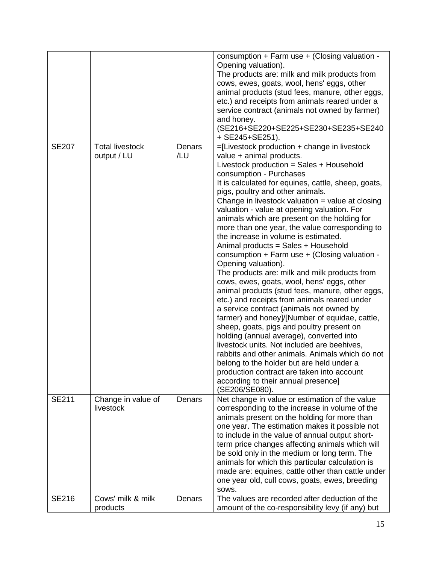|              |                                       |               | consumption + Farm use + (Closing valuation -<br>Opening valuation).<br>The products are: milk and milk products from<br>cows, ewes, goats, wool, hens' eggs, other<br>animal products (stud fees, manure, other eggs,<br>etc.) and receipts from animals reared under a<br>service contract (animals not owned by farmer)<br>and honey.<br>(SE216+SE220+SE225+SE230+SE235+SE240<br>+ SE245+SE251).                                                                                                                                                                                                                                                                                                                                                                                                                                                                                                                                                                                                                                                                                                                                                                                                                                                     |
|--------------|---------------------------------------|---------------|---------------------------------------------------------------------------------------------------------------------------------------------------------------------------------------------------------------------------------------------------------------------------------------------------------------------------------------------------------------------------------------------------------------------------------------------------------------------------------------------------------------------------------------------------------------------------------------------------------------------------------------------------------------------------------------------------------------------------------------------------------------------------------------------------------------------------------------------------------------------------------------------------------------------------------------------------------------------------------------------------------------------------------------------------------------------------------------------------------------------------------------------------------------------------------------------------------------------------------------------------------|
| <b>SE207</b> | <b>Total livestock</b><br>output / LU | Denars<br>/LU | =[Livestock production + change in livestock<br>value + animal products.<br>Livestock production = Sales + Household<br>consumption - Purchases<br>It is calculated for equines, cattle, sheep, goats,<br>pigs, poultry and other animals.<br>Change in livestock valuation $=$ value at closing<br>valuation - value at opening valuation. For<br>animals which are present on the holding for<br>more than one year, the value corresponding to<br>the increase in volume is estimated.<br>Animal products = Sales + Household<br>consumption + Farm use + (Closing valuation -<br>Opening valuation).<br>The products are: milk and milk products from<br>cows, ewes, goats, wool, hens' eggs, other<br>animal products (stud fees, manure, other eggs,<br>etc.) and receipts from animals reared under<br>a service contract (animals not owned by<br>farmer) and honey]/[Number of equidae, cattle,<br>sheep, goats, pigs and poultry present on<br>holding (annual average), converted into<br>livestock units. Not included are beehives,<br>rabbits and other animals. Animals which do not<br>belong to the holder but are held under a<br>production contract are taken into account<br>according to their annual presence]<br>(SE206/SE080). |
| <b>SE211</b> | Change in value of<br>livestock       | Denars        | Net change in value or estimation of the value<br>corresponding to the increase in volume of the<br>animals present on the holding for more than<br>one year. The estimation makes it possible not<br>to include in the value of annual output short-<br>term price changes affecting animals which will<br>be sold only in the medium or long term. The<br>animals for which this particular calculation is<br>made are: equines, cattle other than cattle under<br>one year old, cull cows, goats, ewes, breeding<br>SOWS.                                                                                                                                                                                                                                                                                                                                                                                                                                                                                                                                                                                                                                                                                                                            |
| <b>SE216</b> | Cows' milk & milk<br>products         | Denars        | The values are recorded after deduction of the<br>amount of the co-responsibility levy (if any) but                                                                                                                                                                                                                                                                                                                                                                                                                                                                                                                                                                                                                                                                                                                                                                                                                                                                                                                                                                                                                                                                                                                                                     |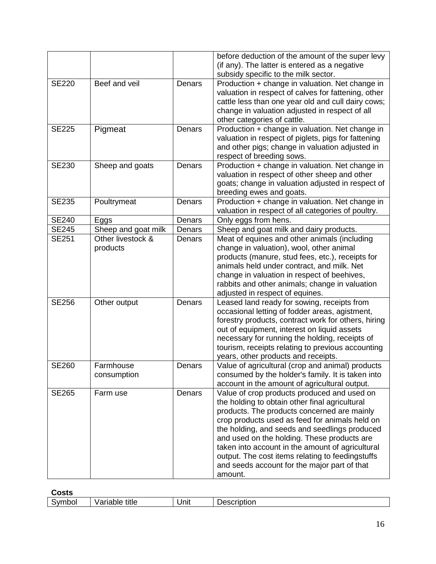|              |                               |        | before deduction of the amount of the super levy<br>(if any). The latter is entered as a negative<br>subsidy specific to the milk sector.                                                                                                                                                                                                                                                                                                                         |
|--------------|-------------------------------|--------|-------------------------------------------------------------------------------------------------------------------------------------------------------------------------------------------------------------------------------------------------------------------------------------------------------------------------------------------------------------------------------------------------------------------------------------------------------------------|
| <b>SE220</b> | Beef and veil                 | Denars | Production + change in valuation. Net change in<br>valuation in respect of calves for fattening, other<br>cattle less than one year old and cull dairy cows;<br>change in valuation adjusted in respect of all<br>other categories of cattle.                                                                                                                                                                                                                     |
| <b>SE225</b> | Pigmeat                       | Denars | Production + change in valuation. Net change in<br>valuation in respect of piglets, pigs for fattening<br>and other pigs; change in valuation adjusted in<br>respect of breeding sows.                                                                                                                                                                                                                                                                            |
| <b>SE230</b> | Sheep and goats               | Denars | Production + change in valuation. Net change in<br>valuation in respect of other sheep and other<br>goats; change in valuation adjusted in respect of<br>breeding ewes and goats.                                                                                                                                                                                                                                                                                 |
| <b>SE235</b> | Poultrymeat                   | Denars | Production + change in valuation. Net change in<br>valuation in respect of all categories of poultry.                                                                                                                                                                                                                                                                                                                                                             |
| <b>SE240</b> | Eggs                          | Denars | Only eggs from hens.                                                                                                                                                                                                                                                                                                                                                                                                                                              |
| <b>SE245</b> | Sheep and goat milk           | Denars | Sheep and goat milk and dairy products.                                                                                                                                                                                                                                                                                                                                                                                                                           |
| <b>SE251</b> | Other livestock &<br>products | Denars | Meat of equines and other animals (including<br>change in valuation), wool, other animal<br>products (manure, stud fees, etc.), receipts for<br>animals held under contract, and milk. Net<br>change in valuation in respect of beehives,<br>rabbits and other animals; change in valuation<br>adjusted in respect of equines.                                                                                                                                    |
| <b>SE256</b> | Other output                  | Denars | Leased land ready for sowing, receipts from<br>occasional letting of fodder areas, agistment,<br>forestry products, contract work for others, hiring<br>out of equipment, interest on liquid assets<br>necessary for running the holding, receipts of<br>tourism, receipts relating to previous accounting<br>years, other products and receipts.                                                                                                                 |
| <b>SE260</b> | Farmhouse<br>consumption      | Denars | Value of agricultural (crop and animal) products<br>consumed by the holder's family. It is taken into<br>account in the amount of agricultural output.                                                                                                                                                                                                                                                                                                            |
| <b>SE265</b> | Farm use                      | Denars | Value of crop products produced and used on<br>the holding to obtain other final agricultural<br>products. The products concerned are mainly<br>crop products used as feed for animals held on<br>the holding, and seeds and seedlings produced<br>and used on the holding. These products are<br>taken into account in the amount of agricultural<br>output. The cost items relating to feedingstuffs<br>and seeds account for the major part of that<br>amount. |

| ∶osts |                           |      |             |
|-------|---------------------------|------|-------------|
| mboi  | title<br>Jorianic.<br>nıe | Unit | Jescription |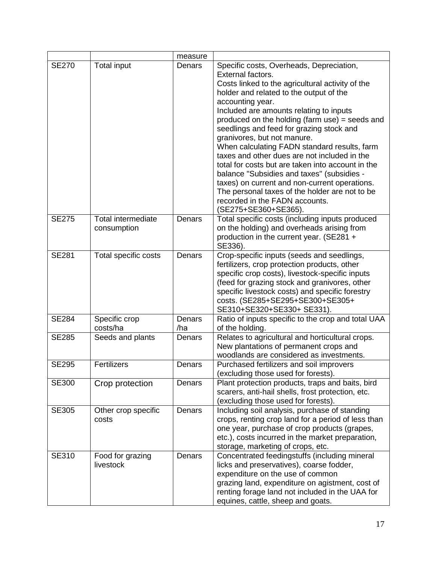|              |                                          | measure       |                                                                                                                                                                                                                                                                                                                                                                                                                                                                                                                                                                                                                                                                                                                          |
|--------------|------------------------------------------|---------------|--------------------------------------------------------------------------------------------------------------------------------------------------------------------------------------------------------------------------------------------------------------------------------------------------------------------------------------------------------------------------------------------------------------------------------------------------------------------------------------------------------------------------------------------------------------------------------------------------------------------------------------------------------------------------------------------------------------------------|
| <b>SE270</b> | Total input                              | Denars        | Specific costs, Overheads, Depreciation,<br>External factors.<br>Costs linked to the agricultural activity of the<br>holder and related to the output of the<br>accounting year.<br>Included are amounts relating to inputs<br>produced on the holding (farm use) = seeds and<br>seedlings and feed for grazing stock and<br>granivores, but not manure.<br>When calculating FADN standard results, farm<br>taxes and other dues are not included in the<br>total for costs but are taken into account in the<br>balance "Subsidies and taxes" (subsidies -<br>taxes) on current and non-current operations.<br>The personal taxes of the holder are not to be<br>recorded in the FADN accounts.<br>(SE275+SE360+SE365). |
| <b>SE275</b> | <b>Total intermediate</b><br>consumption | Denars        | Total specific costs (including inputs produced<br>on the holding) and overheads arising from<br>production in the current year. (SE281 +<br>SE336).                                                                                                                                                                                                                                                                                                                                                                                                                                                                                                                                                                     |
| <b>SE281</b> | Total specific costs                     | Denars        | Crop-specific inputs (seeds and seedlings,<br>fertilizers, crop protection products, other<br>specific crop costs), livestock-specific inputs<br>(feed for grazing stock and granivores, other<br>specific livestock costs) and specific forestry<br>costs. (SE285+SE295+SE300+SE305+<br>SE310+SE320+SE330+ SE331).                                                                                                                                                                                                                                                                                                                                                                                                      |
| <b>SE284</b> | Specific crop<br>costs/ha                | Denars<br>/ha | Ratio of inputs specific to the crop and total UAA<br>of the holding.                                                                                                                                                                                                                                                                                                                                                                                                                                                                                                                                                                                                                                                    |
| <b>SE285</b> | Seeds and plants                         | Denars        | Relates to agricultural and horticultural crops.<br>New plantations of permanent crops and<br>woodlands are considered as investments.                                                                                                                                                                                                                                                                                                                                                                                                                                                                                                                                                                                   |
| <b>SE295</b> | <b>Fertilizers</b>                       | Denars        | Purchased fertilizers and soil improvers<br>(excluding those used for forests).                                                                                                                                                                                                                                                                                                                                                                                                                                                                                                                                                                                                                                          |
| <b>SE300</b> | Crop protection                          | Denars        | Plant protection products, traps and baits, bird<br>scarers, anti-hail shells, frost protection, etc.<br>(excluding those used for forests).                                                                                                                                                                                                                                                                                                                                                                                                                                                                                                                                                                             |
| <b>SE305</b> | Other crop specific<br>costs             | Denars        | Including soil analysis, purchase of standing<br>crops, renting crop land for a period of less than<br>one year, purchase of crop products (grapes,<br>etc.), costs incurred in the market preparation,<br>storage, marketing of crops, etc.                                                                                                                                                                                                                                                                                                                                                                                                                                                                             |
| <b>SE310</b> | Food for grazing<br>livestock            | Denars        | Concentrated feedingstuffs (including mineral<br>licks and preservatives), coarse fodder,<br>expenditure on the use of common<br>grazing land, expenditure on agistment, cost of<br>renting forage land not included in the UAA for<br>equines, cattle, sheep and goats.                                                                                                                                                                                                                                                                                                                                                                                                                                                 |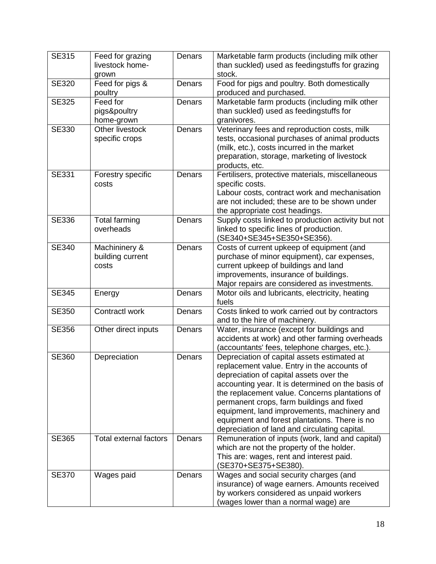|              |                                   |        | by workers considered as unpaid workers<br>(wages lower than a normal wage) are                     |
|--------------|-----------------------------------|--------|-----------------------------------------------------------------------------------------------------|
| <b>SE370</b> | Wages paid                        | Denars | Wages and social security charges (and<br>insurance) of wage earners. Amounts received              |
|              |                                   |        | This are: wages, rent and interest paid.<br>(SE370+SE375+SE380).                                    |
| <b>SE365</b> | <b>Total external factors</b>     | Denars | Remuneration of inputs (work, land and capital)<br>which are not the property of the holder.        |
|              |                                   |        | equipment and forest plantations. There is no<br>depreciation of land and circulating capital.      |
|              |                                   |        | equipment, land improvements, machinery and                                                         |
|              |                                   |        | permanent crops, farm buildings and fixed                                                           |
|              |                                   |        | accounting year. It is determined on the basis of<br>the replacement value. Concerns plantations of |
|              |                                   |        | depreciation of capital assets over the                                                             |
|              |                                   |        | replacement value. Entry in the accounts of                                                         |
| <b>SE360</b> | Depreciation                      | Denars | Depreciation of capital assets estimated at                                                         |
|              |                                   |        | accidents at work) and other farming overheads<br>(accountants' fees, telephone charges, etc.).     |
| <b>SE356</b> | Other direct inputs               | Denars | and to the hire of machinery.<br>Water, insurance (except for buildings and                         |
| <b>SE350</b> | Contractl work                    | Denars | Costs linked to work carried out by contractors                                                     |
|              |                                   |        | fuels                                                                                               |
| <b>SE345</b> | Energy                            | Denars | Major repairs are considered as investments.<br>Motor oils and lubricants, electricity, heating     |
|              |                                   |        | improvements, insurance of buildings.                                                               |
|              | costs                             |        | current upkeep of buildings and land                                                                |
|              | building current                  |        | purchase of minor equipment), car expenses,                                                         |
| <b>SE340</b> | Machininery &                     | Denars | Costs of current upkeep of equipment (and                                                           |
|              |                                   |        | (SE340+SE345+SE350+SE356).                                                                          |
| SE336        | <b>Total farming</b><br>overheads |        | Supply costs linked to production activity but not<br>linked to specific lines of production.       |
|              |                                   | Denars | the appropriate cost headings.                                                                      |
|              |                                   |        | are not included; these are to be shown under                                                       |
|              |                                   |        | Labour costs, contract work and mechanisation                                                       |
|              | costs                             |        | specific costs.                                                                                     |
| <b>SE331</b> | Forestry specific                 | Denars | products, etc.<br>Fertilisers, protective materials, miscellaneous                                  |
|              |                                   |        | preparation, storage, marketing of livestock                                                        |
|              |                                   |        | (milk, etc.), costs incurred in the market                                                          |
|              | specific crops                    |        | tests, occasional purchases of animal products                                                      |
| <b>SE330</b> | Other livestock                   | Denars | Veterinary fees and reproduction costs, milk                                                        |
|              | pigs&poultry<br>home-grown        |        | than suckled) used as feedingstuffs for<br>granivores.                                              |
| <b>SE325</b> | Feed for                          | Denars | Marketable farm products (including milk other                                                      |
|              | poultry                           |        | produced and purchased.                                                                             |
| <b>SE320</b> | Feed for pigs &                   | Denars | Food for pigs and poultry. Both domestically                                                        |
|              | grown                             |        | stock.                                                                                              |
|              | livestock home-                   |        | than suckled) used as feedingstuffs for grazing                                                     |
| <b>SE315</b> | Feed for grazing                  | Denars | Marketable farm products (including milk other                                                      |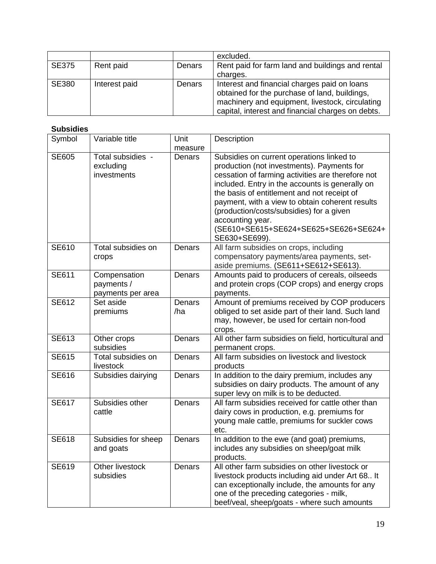|              |               |        | excluded.                                                                                                                                                                                             |
|--------------|---------------|--------|-------------------------------------------------------------------------------------------------------------------------------------------------------------------------------------------------------|
| <b>SE375</b> | Rent paid     | Denars | Rent paid for farm land and buildings and rental                                                                                                                                                      |
|              |               |        | charges.                                                                                                                                                                                              |
| <b>SE380</b> | Interest paid | Denars | Interest and financial charges paid on loans<br>obtained for the purchase of land, buildings,<br>machinery and equipment, livestock, circulating<br>capital, interest and financial charges on debts. |

| <b>Subsidies</b> |                                                 |                 |                                                                                                                                                                                                                                                                                                                                                                                                                             |
|------------------|-------------------------------------------------|-----------------|-----------------------------------------------------------------------------------------------------------------------------------------------------------------------------------------------------------------------------------------------------------------------------------------------------------------------------------------------------------------------------------------------------------------------------|
| Symbol           | Variable title                                  | Unit<br>measure | Description                                                                                                                                                                                                                                                                                                                                                                                                                 |
| <b>SE605</b>     | Total subsidies -<br>excluding<br>investments   | Denars          | Subsidies on current operations linked to<br>production (not investments). Payments for<br>cessation of farming activities are therefore not<br>included. Entry in the accounts is generally on<br>the basis of entitlement and not receipt of<br>payment, with a view to obtain coherent results<br>(production/costs/subsidies) for a given<br>accounting year.<br>(SE610+SE615+SE624+SE625+SE626+SE624+<br>SE630+SE699). |
| SE610            | Total subsidies on<br>crops                     | Denars          | All farm subsidies on crops, including<br>compensatory payments/area payments, set-<br>aside premiums. (SE611+SE612+SE613).                                                                                                                                                                                                                                                                                                 |
| <b>SE611</b>     | Compensation<br>payments /<br>payments per area | Denars          | Amounts paid to producers of cereals, oilseeds<br>and protein crops (COP crops) and energy crops<br>payments.                                                                                                                                                                                                                                                                                                               |
| <b>SE612</b>     | Set aside<br>premiums                           | Denars<br>/ha   | Amount of premiums received by COP producers<br>obliged to set aside part of their land. Such land<br>may, however, be used for certain non-food<br>crops.                                                                                                                                                                                                                                                                  |
| <b>SE613</b>     | Other crops<br>subsidies                        | Denars          | All other farm subsidies on field, horticultural and<br>permanent crops.                                                                                                                                                                                                                                                                                                                                                    |
| <b>SE615</b>     | Total subsidies on<br>livestock                 | Denars          | All farm subsidies on livestock and livestock<br>products                                                                                                                                                                                                                                                                                                                                                                   |
| <b>SE616</b>     | Subsidies dairying                              | Denars          | In addition to the dairy premium, includes any<br>subsidies on dairy products. The amount of any<br>super levy on milk is to be deducted.                                                                                                                                                                                                                                                                                   |
| <b>SE617</b>     | Subsidies other<br>cattle                       | Denars          | All farm subsidies received for cattle other than<br>dairy cows in production, e.g. premiums for<br>young male cattle, premiums for suckler cows<br>etc.                                                                                                                                                                                                                                                                    |
| <b>SE618</b>     | Subsidies for sheep<br>and goats                | Denars          | In addition to the ewe (and goat) premiums,<br>includes any subsidies on sheep/goat milk<br>products.                                                                                                                                                                                                                                                                                                                       |
| SE619            | Other livestock<br>subsidies                    | Denars          | All other farm subsidies on other livestock or<br>livestock products including aid under Art 68 It<br>can exceptionally include, the amounts for any<br>one of the preceding categories - milk,<br>beef/veal, sheep/goats - where such amounts                                                                                                                                                                              |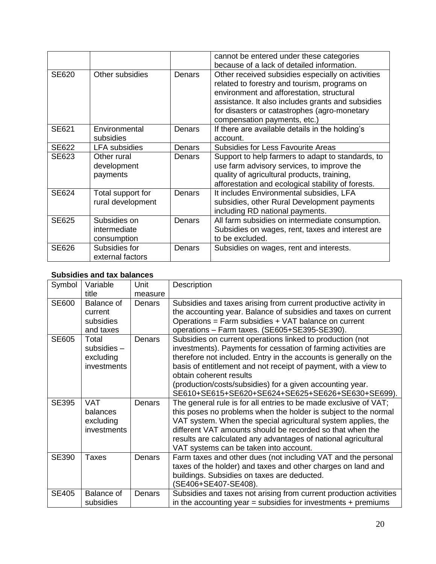|              |                                             |               | cannot be entered under these categories<br>because of a lack of detailed information.                                                                                                                                                                                              |
|--------------|---------------------------------------------|---------------|-------------------------------------------------------------------------------------------------------------------------------------------------------------------------------------------------------------------------------------------------------------------------------------|
| SE620        | Other subsidies                             | Denars        | Other received subsidies especially on activities<br>related to forestry and tourism, programs on<br>environment and afforestation, structural<br>assistance. It also includes grants and subsidies<br>for disasters or catastrophes (agro-monetary<br>compensation payments, etc.) |
| SE621        | Environmental<br>subsidies                  | Denars        | If there are available details in the holding's<br>account.                                                                                                                                                                                                                         |
| <b>SE622</b> | <b>LFA</b> subsidies                        | Denars        | Subsidies for Less Favourite Areas                                                                                                                                                                                                                                                  |
| SE623        | Other rural<br>development<br>payments      | Denars        | Support to help farmers to adapt to standards, to<br>use farm advisory services, to improve the<br>quality of agricultural products, training,<br>afforestation and ecological stability of forests.                                                                                |
| SE624        | Total support for<br>rural development      | <b>Denars</b> | It includes Environmental subsidies, LFA<br>subsidies, other Rural Development payments<br>including RD national payments.                                                                                                                                                          |
| <b>SE625</b> | Subsidies on<br>intermediate<br>consumption | Denars        | All farm subsidies on intermediate consumption.<br>Subsidies on wages, rent, taxes and interest are<br>to be excluded.                                                                                                                                                              |
| <b>SE626</b> | Subsidies for<br>external factors           | Denars        | Subsidies on wages, rent and interests.                                                                                                                                                                                                                                             |

#### **Subsidies and tax balances**

| Symbol       | Variable           | <b>Unit</b> | Description                                                        |
|--------------|--------------------|-------------|--------------------------------------------------------------------|
|              | title              | measure     |                                                                    |
| SE600        | Balance of         | Denars      | Subsidies and taxes arising from current productive activity in    |
|              | current            |             | the accounting year. Balance of subsidies and taxes on current     |
|              | subsidies          |             | Operations = Farm subsidies + VAT balance on current               |
|              | and taxes          |             | operations - Farm taxes. (SE605+SE395-SE390).                      |
| <b>SE605</b> | Total              | Denars      | Subsidies on current operations linked to production (not          |
|              | subsidies -        |             | investments). Payments for cessation of farming activities are     |
|              | excluding          |             | therefore not included. Entry in the accounts is generally on the  |
|              | investments        |             | basis of entitlement and not receipt of payment, with a view to    |
|              |                    |             | obtain coherent results                                            |
|              |                    |             | (production/costs/subsidies) for a given accounting year.          |
|              |                    |             | SE610+SE615+SE620+SE624+SE625+SE626+SE630+SE699).                  |
| <b>SE395</b> | <b>VAT</b>         | Denars      | The general rule is for all entries to be made exclusive of VAT;   |
|              | balances           |             | this poses no problems when the holder is subject to the normal    |
|              | excluding          |             | VAT system. When the special agricultural system applies, the      |
|              | <i>investments</i> |             | different VAT amounts should be recorded so that when the          |
|              |                    |             | results are calculated any advantages of national agricultural     |
|              |                    |             | VAT systems can be taken into account.                             |
| <b>SE390</b> | <b>Taxes</b>       | Denars      | Farm taxes and other dues (not including VAT and the personal      |
|              |                    |             | taxes of the holder) and taxes and other charges on land and       |
|              |                    |             | buildings. Subsidies on taxes are deducted.                        |
|              |                    |             | (SE406+SE407-SE408).                                               |
| <b>SE405</b> | Balance of         | Denars      | Subsidies and taxes not arising from current production activities |
|              | subsidies          |             | in the accounting year = subsidies for investments $+$ premiums    |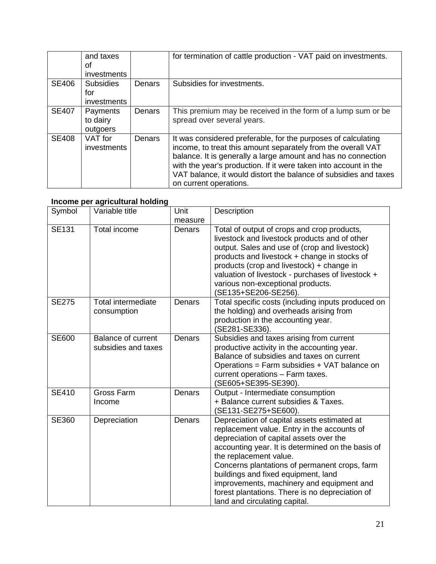|              | and taxes<br>οf<br>investments         |        | for termination of cattle production - VAT paid on investments.                                                                                                                                                                                                                                                                                                  |
|--------------|----------------------------------------|--------|------------------------------------------------------------------------------------------------------------------------------------------------------------------------------------------------------------------------------------------------------------------------------------------------------------------------------------------------------------------|
| <b>SE406</b> | <b>Subsidies</b><br>for<br>investments | Denars | Subsidies for investments.                                                                                                                                                                                                                                                                                                                                       |
| <b>SE407</b> | Payments<br>to dairy<br>outgoers       | Denars | This premium may be received in the form of a lump sum or be<br>spread over several years.                                                                                                                                                                                                                                                                       |
| <b>SE408</b> | VAT for<br><i>investments</i>          | Denars | It was considered preferable, for the purposes of calculating<br>income, to treat this amount separately from the overall VAT<br>balance. It is generally a large amount and has no connection<br>with the year's production. If it were taken into account in the<br>VAT balance, it would distort the balance of subsidies and taxes<br>on current operations. |

### **Income per agricultural holding**

| Symbol       | Variable title                            | Unit    | Description                                                                                                                                                                                                                                                                                                                                                                                                                                   |
|--------------|-------------------------------------------|---------|-----------------------------------------------------------------------------------------------------------------------------------------------------------------------------------------------------------------------------------------------------------------------------------------------------------------------------------------------------------------------------------------------------------------------------------------------|
|              |                                           | measure |                                                                                                                                                                                                                                                                                                                                                                                                                                               |
| <b>SE131</b> | Total income                              | Denars  | Total of output of crops and crop products,<br>livestock and livestock products and of other<br>output. Sales and use of (crop and livestock)<br>products and livestock + change in stocks of<br>products (crop and livestock) + change in<br>valuation of livestock - purchases of livestock +<br>various non-exceptional products.<br>(SE135+SE206-SE256).                                                                                  |
| <b>SE275</b> | <b>Total intermediate</b><br>consumption  | Denars  | Total specific costs (including inputs produced on<br>the holding) and overheads arising from<br>production in the accounting year.<br>(SE281-SE336).                                                                                                                                                                                                                                                                                         |
| SE600        | Balance of current<br>subsidies and taxes | Denars  | Subsidies and taxes arising from current<br>productive activity in the accounting year.<br>Balance of subsidies and taxes on current<br>Operations = Farm subsidies + VAT balance on<br>current operations - Farm taxes.<br>(SE605+SE395-SE390).                                                                                                                                                                                              |
| <b>SE410</b> | <b>Gross Farm</b><br>Income               | Denars  | Output - Intermediate consumption<br>+ Balance current subsidies & Taxes.<br>(SE131-SE275+SE600).                                                                                                                                                                                                                                                                                                                                             |
| SE360        | Depreciation                              | Denars  | Depreciation of capital assets estimated at<br>replacement value. Entry in the accounts of<br>depreciation of capital assets over the<br>accounting year. It is determined on the basis of<br>the replacement value.<br>Concerns plantations of permanent crops, farm<br>buildings and fixed equipment, land<br>improvements, machinery and equipment and<br>forest plantations. There is no depreciation of<br>land and circulating capital. |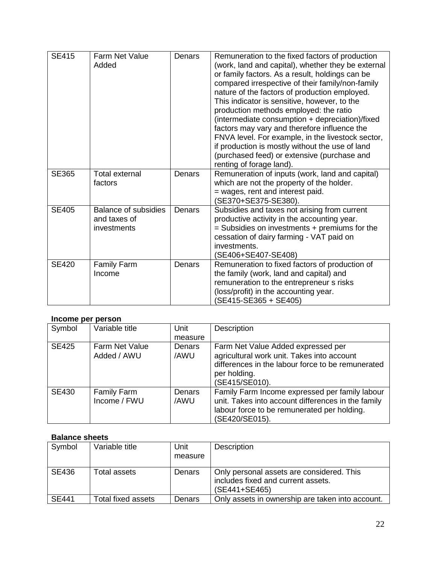| <b>SE415</b> | Farm Net Value<br>Added                                    | Denars | Remuneration to the fixed factors of production<br>(work, land and capital), whether they be external<br>or family factors. As a result, holdings can be<br>compared irrespective of their family/non-family<br>nature of the factors of production employed.<br>This indicator is sensitive, however, to the<br>production methods employed: the ratio<br>(intermediate consumption + depreciation)/fixed<br>factors may vary and therefore influence the<br>FNVA level. For example, in the livestock sector,<br>if production is mostly without the use of land<br>(purchased feed) or extensive (purchase and<br>renting of forage land). |
|--------------|------------------------------------------------------------|--------|-----------------------------------------------------------------------------------------------------------------------------------------------------------------------------------------------------------------------------------------------------------------------------------------------------------------------------------------------------------------------------------------------------------------------------------------------------------------------------------------------------------------------------------------------------------------------------------------------------------------------------------------------|
| <b>SE365</b> | <b>Total external</b><br>factors                           | Denars | Remuneration of inputs (work, land and capital)<br>which are not the property of the holder.<br>= wages, rent and interest paid.<br>(SE370+SE375-SE380).                                                                                                                                                                                                                                                                                                                                                                                                                                                                                      |
| <b>SE405</b> | <b>Balance of subsidies</b><br>and taxes of<br>investments | Denars | Subsidies and taxes not arising from current<br>productive activity in the accounting year.<br>$=$ Subsidies on investments $+$ premiums for the<br>cessation of dairy farming - VAT paid on<br>investments.<br>(SE406+SE407-SE408)                                                                                                                                                                                                                                                                                                                                                                                                           |
| <b>SE420</b> | <b>Family Farm</b><br>Income                               | Denars | Remuneration to fixed factors of production of<br>the family (work, land and capital) and<br>remuneration to the entrepreneur s risks<br>(loss/profit) in the accounting year.<br>(SE415-SE365 + SE405)                                                                                                                                                                                                                                                                                                                                                                                                                                       |

#### **Income per person**

| Symbol       | Variable title                       | Unit           | Description                                                                                                                                                             |
|--------------|--------------------------------------|----------------|-------------------------------------------------------------------------------------------------------------------------------------------------------------------------|
|              |                                      | measure        |                                                                                                                                                                         |
| <b>SE425</b> | <b>Farm Net Value</b><br>Added / AWU | Denars<br>/AWU | Farm Net Value Added expressed per<br>agricultural work unit. Takes into account<br>differences in the labour force to be remunerated<br>per holding.<br>(SE415/SE010). |
| <b>SE430</b> | Family Farm<br>Income / FWU          | Denars<br>/AWU | Family Farm Income expressed per family labour<br>unit. Takes into account differences in the family<br>labour force to be remunerated per holding.<br>(SE420/SE015).   |

### **Balance sheets**

| Symbol       | Variable title     | Unit    | Description                                                                                      |
|--------------|--------------------|---------|--------------------------------------------------------------------------------------------------|
|              |                    | measure |                                                                                                  |
|              |                    |         |                                                                                                  |
| SE436        | Total assets       | Denars  | Only personal assets are considered. This<br>includes fixed and current assets.<br>(SE441+SE465) |
| <b>SE441</b> | Total fixed assets | Denars  | Only assets in ownership are taken into account.                                                 |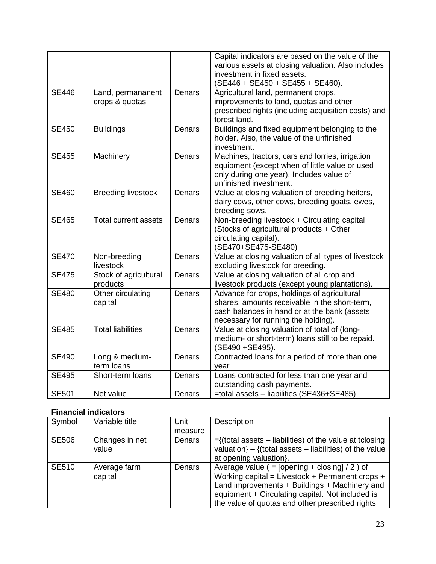|              |                                     |        | Capital indicators are based on the value of the<br>various assets at closing valuation. Also includes<br>investment in fixed assets.<br>$(SE446 + SE450 + SE455 + SE460).$         |
|--------------|-------------------------------------|--------|-------------------------------------------------------------------------------------------------------------------------------------------------------------------------------------|
| <b>SE446</b> | Land, permananent<br>crops & quotas | Denars | Agricultural land, permanent crops,<br>improvements to land, quotas and other<br>prescribed rights (including acquisition costs) and<br>forest land.                                |
| <b>SE450</b> | <b>Buildings</b>                    | Denars | Buildings and fixed equipment belonging to the<br>holder. Also, the value of the unfinished<br>investment.                                                                          |
| <b>SE455</b> | Machinery                           | Denars | Machines, tractors, cars and lorries, irrigation<br>equipment (except when of little value or used<br>only during one year). Includes value of<br>unfinished investment.            |
| <b>SE460</b> | <b>Breeding livestock</b>           | Denars | Value at closing valuation of breeding heifers,<br>dairy cows, other cows, breeding goats, ewes,<br>breeding sows.                                                                  |
| <b>SE465</b> | <b>Total current assets</b>         | Denars | Non-breeding livestock + Circulating capital<br>(Stocks of agricultural products + Other<br>circulating capital).<br>(SE470+SE475-SE480)                                            |
| <b>SE470</b> | Non-breeding<br>livestock           | Denars | Value at closing valuation of all types of livestock<br>excluding livestock for breeding.                                                                                           |
| <b>SE475</b> | Stock of agricultural<br>products   | Denars | Value at closing valuation of all crop and<br>livestock products (except young plantations).                                                                                        |
| <b>SE480</b> | Other circulating<br>capital        | Denars | Advance for crops, holdings of agricultural<br>shares, amounts receivable in the short-term,<br>cash balances in hand or at the bank (assets<br>necessary for running the holding). |
| <b>SE485</b> | <b>Total liabilities</b>            | Denars | Value at closing valuation of total of (long-,<br>medium- or short-term) loans still to be repaid.<br>(SE490 + SE495).                                                              |
| <b>SE490</b> | Long & medium-<br>term loans        | Denars | Contracted loans for a period of more than one<br>year                                                                                                                              |
| <b>SE495</b> | Short-term loans                    | Denars | Loans contracted for less than one year and<br>outstanding cash payments.                                                                                                           |
| <b>SE501</b> | Net value                           | Denars | =total assets - liabilities (SE436+SE485)                                                                                                                                           |

### **Financial indicators**

| Symbol       | Variable title          | Unit    | <b>Description</b>                                                                                                                                                                                                                                          |
|--------------|-------------------------|---------|-------------------------------------------------------------------------------------------------------------------------------------------------------------------------------------------------------------------------------------------------------------|
|              |                         | measure |                                                                                                                                                                                                                                                             |
| <b>SE506</b> | Changes in net<br>value | Denars  | $=\{$ (total assets – liabilities) of the value at tclosing<br>valuation} $-$ {(total assets $-$ liabilities) of the value<br>at opening valuation.                                                                                                         |
| <b>SE510</b> | Average farm<br>capital | Denars  | Average value ( = $[opening + closing] / 2$ ) of<br>Working capital = Livestock + Permanent crops +<br>Land improvements + Buildings + Machinery and<br>equipment + Circulating capital. Not included is<br>the value of quotas and other prescribed rights |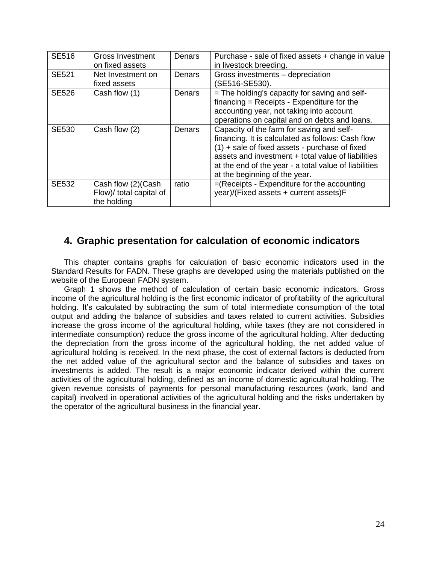| <b>SE516</b> | Gross Investment<br>on fixed assets                          | Denars | Purchase - sale of fixed assets + change in value<br>in livestock breeding.                                                                                                                                                                                                                        |
|--------------|--------------------------------------------------------------|--------|----------------------------------------------------------------------------------------------------------------------------------------------------------------------------------------------------------------------------------------------------------------------------------------------------|
| <b>SE521</b> | Net Investment on<br>fixed assets                            | Denars | Gross investments - depreciation<br>(SE516-SE530).                                                                                                                                                                                                                                                 |
| <b>SE526</b> | Cash flow (1)                                                | Denars | = The holding's capacity for saving and self-<br>$financing = Receipts - Expenditure for the$<br>accounting year, not taking into account<br>operations on capital and on debts and loans.                                                                                                         |
| <b>SE530</b> | Cash flow (2)                                                | Denars | Capacity of the farm for saving and self-<br>financing. It is calculated as follows: Cash flow<br>$(1)$ + sale of fixed assets - purchase of fixed<br>assets and investment + total value of liabilities<br>at the end of the year - a total value of liabilities<br>at the beginning of the year. |
| <b>SE532</b> | Cash flow (2)(Cash<br>Flow)/ total capital of<br>the holding | ratio  | =(Receipts - Expenditure for the accounting<br>year)/(Fixed assets + current assets)F                                                                                                                                                                                                              |

# <span id="page-23-0"></span>**4. Graphic presentation for calculation of economic indicators**

This chapter contains graphs for calculation of basic economic indicators used in the Standard Results for FADN. These graphs are developed using the materials published on the website of the European FADN system.

Graph 1 shows the method of calculation of certain basic economic indicators. Gross income of the agricultural holding is the first economic indicator of profitability of the agricultural holding. It's calculated by subtracting the sum of total intermediate consumption of the total output and adding the balance of subsidies and taxes related to current activities. Subsidies increase the gross income of the agricultural holding, while taxes (they are not considered in intermediate consumption) reduce the gross income of the agricultural holding. After deducting the depreciation from the gross income of the agricultural holding, the net added value of agricultural holding is received. In the next phase, the cost of external factors is deducted from the net added value of the agricultural sector and the balance of subsidies and taxes on investments is added. The result is a major economic indicator derived within the current activities of the agricultural holding, defined as an income of domestic agricultural holding. The given revenue consists of payments for personal manufacturing resources (work, land and capital) involved in operational activities of the agricultural holding and the risks undertaken by the operator of the agricultural business in the financial year.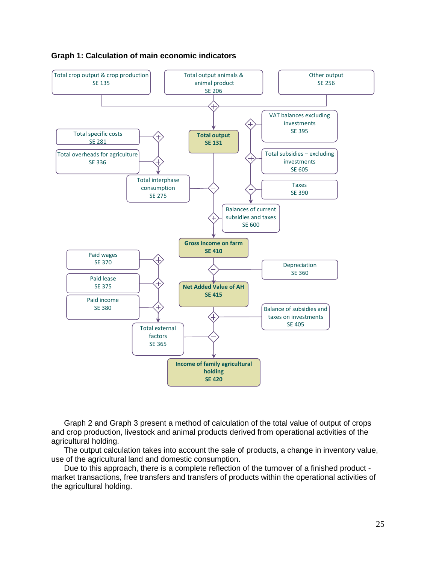

#### <span id="page-24-0"></span>**Graph 1: Calculation of main economic indicators**

Graph 2 and Graph 3 present a method of calculation of the total value of output of crops and crop production, livestock and animal products derived from operational activities of the agricultural holding.

The output calculation takes into account the sale of products, a change in inventory value, use of the agricultural land and domestic consumption.

Due to this approach, there is a complete reflection of the turnover of a finished product market transactions, free transfers and transfers of products within the operational activities of the agricultural holding.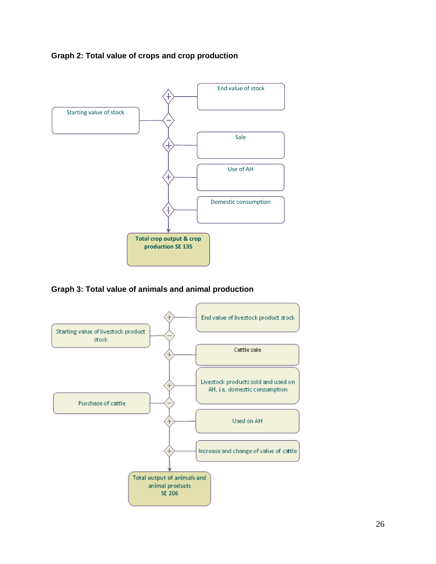### <span id="page-25-0"></span>**Graph 2: Total value of crops and crop production**



<span id="page-25-1"></span>**Graph 3: Total value of animals and animal production**

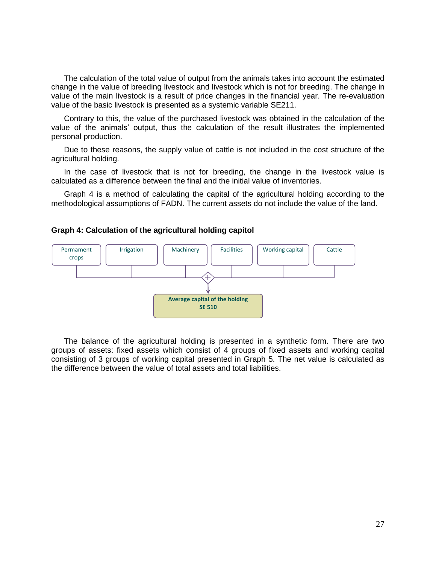The calculation of the total value of output from the animals takes into account the estimated change in the value of breeding livestock and livestock which is not for breeding. The change in value of the main livestock is a result of price changes in the financial year. The re-evaluation value of the basic livestock is presented as a systemic variable SE211.

Contrary to this, the value of the purchased livestock was obtained in the calculation of the value of the animals' output, thus the calculation of the result illustrates the implemented personal production.

Due to these reasons, the supply value of cattle is not included in the cost structure of the agricultural holding.

In the case of livestock that is not for breeding, the change in the livestock value is calculated as a difference between the final and the initial value of inventories.

Graph 4 is a method of calculating the capital of the agricultural holding according to the methodological assumptions of FADN. The current assets do not include the value of the land.

<span id="page-26-0"></span>



The balance of the agricultural holding is presented in a synthetic form. There are two groups of assets: fixed assets which consist of 4 groups of fixed assets and working capital consisting of 3 groups of working capital presented in Graph 5. The net value is calculated as the difference between the value of total assets and total liabilities.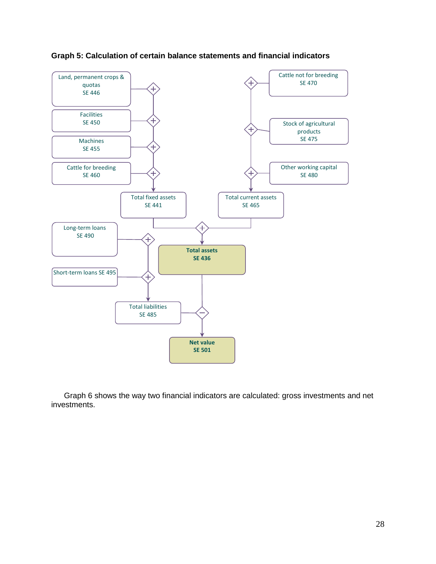

#### <span id="page-27-0"></span>**Graph 5: Calculation of certain balance statements and financial indicators**

Graph 6 shows the way two financial indicators are calculated: gross investments and net investments.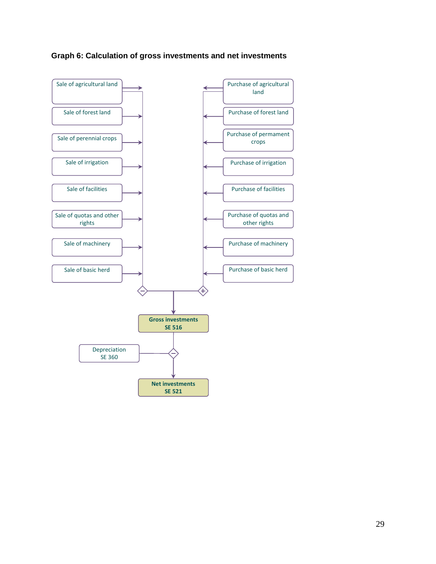<span id="page-28-0"></span>

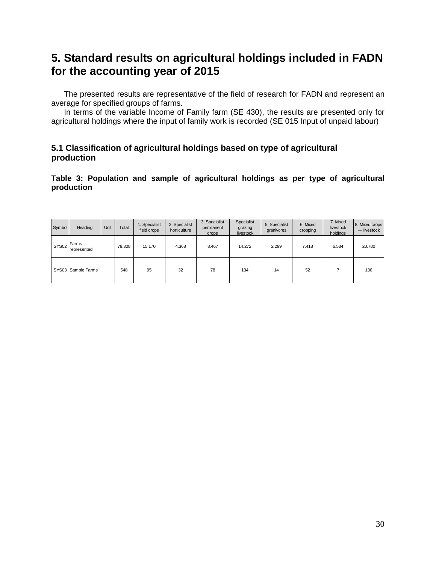# <span id="page-29-0"></span>**5. Standard results on agricultural holdings included in FADN for the accounting year of 2015**

The presented results are representative of the field of research for FADN and represent an average for specified groups of farms.

In terms of the variable Income of Family farm (SE 430), the results are presented only for agricultural holdings where the input of family work is recorded (SE 015 Input of unpaid labour)

### <span id="page-29-1"></span>**5.1 Classification of agricultural holdings based on type of agricultural production**

<span id="page-29-2"></span>**Table 3: Population and sample of agricultural holdings as per type of agricultural production**

| Symbol            | Heading              | Unit | Total  | 1. Specialist<br>field crops | 2. Specialist<br>horticulture | 3. Specialist<br>permanent<br>crops | Specialist<br>grazing<br>livestock | 5. Specialist<br>granivores | 6. Mixed<br>cropping | 7. Mixed<br>livestock<br>holdings | 8. Mixed crops<br>- livestock |
|-------------------|----------------------|------|--------|------------------------------|-------------------------------|-------------------------------------|------------------------------------|-----------------------------|----------------------|-----------------------------------|-------------------------------|
| SYS <sub>02</sub> | Farms<br>represented |      | 79.308 | 15.170                       | 4.368                         | 8.467                               | 14.272                             | 2.299                       | 7.418                | 6.534                             | 20.780                        |
|                   | SYS03 Sample Farms   |      | 548    | 95                           | 32                            | 78                                  | 134                                | 14                          | 52                   |                                   | 136                           |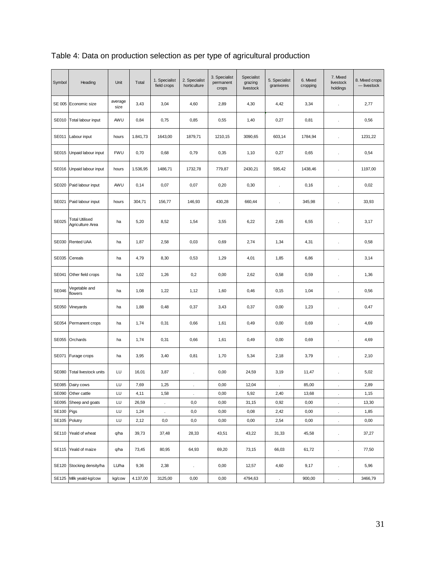| Symbol        | Heading                                   | Unit            | Total    | 1. Specialist<br>field crops | 2. Specialist<br>horticulture | 3. Specialist<br>permanent<br>crops | Specialist<br>grazing<br>livestock | 5. Specialist<br>granivores | 6. Mixed<br>cropping | 7. Mixed<br>livestock<br>holdings | 8. Mixed crops<br>$-$ livestock |
|---------------|-------------------------------------------|-----------------|----------|------------------------------|-------------------------------|-------------------------------------|------------------------------------|-----------------------------|----------------------|-----------------------------------|---------------------------------|
|               | SE 005 Economic size                      | average<br>size | 3,43     | 3,04                         | 4,60                          | 2,89                                | 4,30                               | 4,42                        | 3,34                 |                                   | 2,77                            |
|               | SE010 Total labour input                  | AWU             | 0,84     | 0,75                         | 0,85                          | 0,55                                | 1,40                               | 0,27                        | 0,81                 | $\ddot{\phantom{a}}$              | 0,56                            |
|               | SE011 Labour input                        | hours           | 1.841,73 | 1643,00                      | 1879,71                       | 1210,15                             | 3090,65                            | 603,14                      | 1784,94              |                                   | 1231,22                         |
|               | SE015 Unpaid labour input                 | <b>FWU</b>      | 0,70     | 0,68                         | 0,79                          | 0,35                                | 1,10                               | 0,27                        | 0,65                 | $\ddot{\phantom{0}}$              | 0,54                            |
|               | SE016 Unpaid labour input                 | hours           | 1.536,95 | 1486,71                      | 1732,78                       | 779,87                              | 2430,21                            | 595,42                      | 1438,46              | $\ddot{\phantom{a}}$              | 1197,00                         |
|               | SE020 Paid labour input                   | AWU             | 0,14     | 0,07                         | 0,07                          | 0,20                                | 0,30                               | $\cdot$                     | 0, 16                | $\cdot$                           | 0,02                            |
| SE021         | Paid labour input                         | hours           | 304,71   | 156,77                       | 146,93                        | 430,28                              | 660,44                             | ÷.                          | 345,98               | J.                                | 33,93                           |
| SE025         | <b>Total Utilised</b><br>Agriculture Area | ha              | 5,20     | 8,52                         | 1,54                          | 3,55                                | 6,22                               | 2,65                        | 6,55                 | ł.                                | 3,17                            |
|               | SE030 Rented UAA                          | ha              | 1,87     | 2,58                         | 0,03                          | 0,69                                | 2,74                               | 1,34                        | 4,31                 | $\cdot$                           | 0,58                            |
|               | SE035 Cereals                             | ha              | 4,79     | 8,30                         | 0,53                          | 1,29                                | 4,01                               | 1,85                        | 6,86                 |                                   | 3,14                            |
| SE041         | Other field crops                         | ha              | 1,02     | 1,26                         | 0,2                           | 0,00                                | 2,62                               | 0,58                        | 0,59                 | ł,                                | 1,36                            |
| <b>SE046</b>  | Vegetable and<br>flowers                  | ha              | 1,08     | 1,22                         | 1,12                          | 1,60                                | 0,46                               | 0, 15                       | 1,04                 |                                   | 0,56                            |
|               | SE050 Vineyards                           | ha              | 1,88     | 0,48                         | 0,37                          | 3,43                                | 0,37                               | 0,00                        | 1,23                 | ł.                                | 0,47                            |
|               | SE054 Permanent crops                     | ha              | 1,74     | 0,31                         | 0,66                          | 1,61                                | 0,49                               | 0,00                        | 0,69                 |                                   | 4,69                            |
|               | SE055 Orchards                            | ha              | 1,74     | 0,31                         | 0,66                          | 1,61                                | 0,49                               | 0,00                        | 0,69                 |                                   | 4,69                            |
|               | SE071 Furage crops                        | ha              | 3,95     | 3,40                         | 0,81                          | 1,70                                | 5,34                               | 2,18                        | 3,79                 |                                   | 2,10                            |
| <b>SE080</b>  | <b>Total livestock units</b>              | LU              | 16,01    | 3,87                         | $\ddot{\phantom{0}}$          | 0,00                                | 24,59                              | 3,19                        | 11,47                |                                   | 5,02                            |
|               | SE085 Dairy cows                          | LU              | 7,69     | 1,25                         |                               | 0,00                                | 12,04                              |                             | 85,00                |                                   | 2,89                            |
| SE090         | Other cattle                              | LU              | 4,11     | 1,58                         | $\ddot{\phantom{a}}$          | 0,00                                | 5,92                               | 2,40                        | 13,68                | $\cdot$                           | 1,15                            |
| SE095         | Sheep and goats                           | LU              | 26,59    | $\cdot$                      | 0,0                           | 0,00                                | 31,15                              | 0,92                        | 0,00                 | $\cdot$                           | 13,30                           |
| SE100 Pigs    |                                           | LU              | 1,24     | $\ddot{\phantom{a}}$         | 0,0                           | 0,00                                | 0,08                               | 2,42                        | 0,00                 | $\cdot$                           | 1,85                            |
| SE105 Polutry |                                           | LU              | 2,12     | 0,0                          | 0,0                           | 0,00                                | 0,00                               | 2,54                        | 0,00                 | $\cdot$                           | 0,00                            |
|               | SE110 Yeald of wheat                      | q/ha            | 39,73    | 37,48                        | 28,33                         | 43,51                               | 43,22                              | 31,33                       | 45,58                | $\cdot$                           | 37,27                           |
|               | SE115 Yeald of maize                      | q/ha            | 73,45    | 80,95                        | 64,93                         | 69,20                               | 73,15                              | 66,03                       | 61,72                | $\cdot$                           | 77,50                           |
|               | SE120 Stocking density/ha                 | LU/ha           | 9,36     | 2,38                         | $\Box$                        | 0,00                                | 12,57                              | 4,60                        | 9,17                 | $\ddot{\phantom{a}}$              | 5,96                            |
|               | SE125 Milk yeald-kg/cow                   | kg/cow          | 4.137,00 | 3125,00                      | 0,00                          | 0,00                                | 4794,63                            | $\ddot{\phantom{a}}$        | 900,00               |                                   | 3466,79                         |

<span id="page-30-0"></span>Table 4: Data on production selection as per type of agricultural production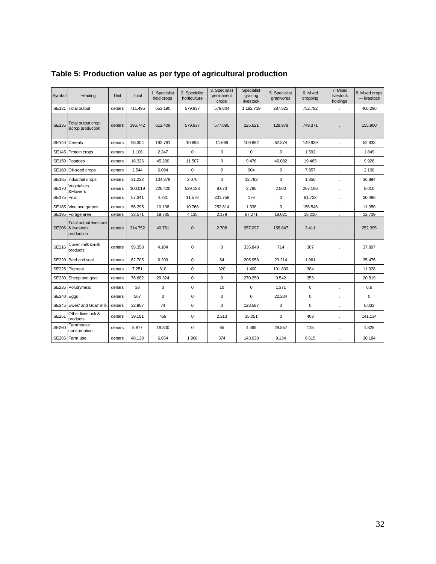| Symbol       | Heading                                                          | Unit   | Total   | 1. Specialist<br>field crops | 2. Specialist<br>horticulture | 3. Specialist<br>permanent<br>crops | Specialist<br>grazing<br>livestock | 5. Specialist<br>granivores | 6. Mixed<br>cropping | 7. Mixed<br>livestock<br>holdings | 8. Mixed crops<br>$-$ livestock |
|--------------|------------------------------------------------------------------|--------|---------|------------------------------|-------------------------------|-------------------------------------|------------------------------------|-----------------------------|----------------------|-----------------------------------|---------------------------------|
| SE131        | <b>Total output</b>                                              | denars | 711.495 | 653.190                      | 579.937                       | 579.804                             | 1.182.719                          | 287.825                     | 752.782              |                                   | 408.296                         |
| <b>SE135</b> | Total output crop<br>&crop production                            | denars | 396.742 | 612.409                      | 579.937                       | 577.095                             | 225.621                            | 128.978                     | 749.371              |                                   | 155.900                         |
|              | SE140 Cereals                                                    | denars | 98.304  | 192.781                      | 10.693                        | 11.669                              | 109.882                            | 62.374                      | 149.939              | $\mathbf{r}$                      | 52.833                          |
|              | SE145 Protein crops                                              | denars | 1.106   | 2.247                        | $\mathbf 0$                   | $\mathsf 0$                         | $\mathbf 0$                        | $\mathbf 0$                 | 1.592                | $\epsilon$                        | 1.849                           |
|              | SE150 Potatoes                                                   | denars | 16.326  | 45.280                       | 11.507                        | $\mathbf 0$                         | 9.476                              | 46.082                      | 19.465               | $\epsilon$                        | 9.926                           |
| <b>SE160</b> | Oil-seed crops                                                   | denars | 2.544   | 6.094                        | $\mathbf 0$                   | $\pmb{0}$                           | 904                                | $\mathbf 0$                 | 7.857                |                                   | 2.100                           |
|              | SE165 Industrial crops                                           | denars | 31.232  | 104.879                      | 2.070                         | $\mathbf 0$                         | 12.783                             | $\mathbf 0$                 | 1.850                | $\blacksquare$                    | 36.894                          |
| <b>SE170</b> | Vegetables<br>&Flowers                                           | denars | 100.019 | 226.420                      | 529.183                       | 8.673                               | 3.785                              | 2.500                       | 267.186              | $\cdot$                           | 8.010                           |
| SE175 Fruit  |                                                                  | denars | 57.341  | 4.781                        | 11.578                        | 301.758                             | 179                                | $\mathbf 0$                 | 81.722               | $\ddot{\phantom{0}}$              | 20.496                          |
| <b>SE185</b> | Vine and grapes                                                  | denars | 56.295  | 10.138                       | 10.768                        | 252.814                             | 1.338                              | 0                           | 156.546              | $\cdot$                           | 11.050                          |
|              | SE195 Forage area                                                | denars | 33.571  | 19.785                       | 4.135                         | 2.179                               | 87.271                             | 18.021                      | 18.210               |                                   | 12.739                          |
|              | <b>Total output livestock</b><br>SE206 & livestock<br>production | denars | 314.752 | 40.781                       | $\mathbf{0}$                  | 2.708                               | 957.097                            | 158.847                     | 3.411                |                                   | 252.395                         |
| SE216        | Cows' milk &milk<br>products                                     | denars | 95.358  | 4.104                        | $\Omega$                      | $\mathbf 0$                         | 335.849                            | 714                         | 307                  |                                   | 37.897                          |
| <b>SE220</b> | Beef and veal                                                    | denars | 62.705  | 6.209                        | $\pmb{0}$                     | 64                                  | 205.958                            | 23.214                      | 1.961                |                                   | 35.476                          |
|              | SE225 Pigmeat                                                    | denars | 7.251   | 610                          | $\mathbf 0$                   | 320                                 | 1.400                              | 101.800                     | 384                  | $\cdot$                           | 11.028                          |
|              | SE230 Sheep and goat                                             | denars | 76.682  | 29.324                       | $\mathbf 0$                   | $\mathbf 0$                         | 270.250                            | 9.542                       | 353                  | ÷.                                | 20.819                          |
| SE235        | Polutrymeat                                                      | denars | 38      | 0                            | $\pmb{0}$                     | 10                                  | $\mathbf 0$                        | 1.371                       | 0                    | $\blacksquare$                    | 6,6                             |
| SE240 Eggs   |                                                                  | denars | 567     | $\mathbf 0$                  | $\mathbf 0$                   | $\mathbf 0$                         | $\Omega$                           | 22.204                      | 0                    | $\cdot$                           | $\mathbf 0$                     |
| <b>SE245</b> | Ewes' and Goat' milk                                             | denars | 32.967  | 74                           | $\mathbf 0$                   | $\mathbf 0$                         | 128.587                            | $\mathbf 0$                 | $\mathbf 0$          | $\mathbf{r}$                      | 6.033                           |
| <b>SE251</b> | Other livestock &<br>products                                    | denars | 39.181  | 459                          | $\mathbf 0$                   | 2.313                               | 15.051                             | $\mathbf 0$                 | 403                  |                                   | 141.134                         |
| SE260        | Farmhouse<br>consumption                                         | denars | 5.877   | 19.300                       | 0                             | 65                                  | 4.495                              | 28.857                      | 115                  | ÷.                                | 1.825                           |
|              | SE265 Farm use                                                   | denars | 48.138  | 6.854                        | 1.968                         | 374                                 | 143.038                            | 9.134                       | 6.615                |                                   | 30.184                          |

# <span id="page-31-0"></span>**Table 5: Production value as per type of agricultural production**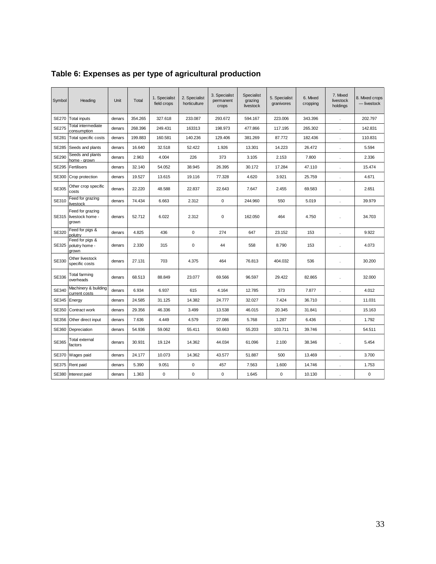| Symbol       | Heading                                       | Unit   | Total   | 1. Specialist<br>field crops | 2. Specialist<br>horticulture | 3. Specialist<br>permanent<br>crops | Specialist<br>grazing<br>livestock | 5. Specialist<br>granivores | 6. Mixed<br>cropping | 7. Mixed<br>livestock<br>holdings | 8. Mixed crops<br>- livestock |
|--------------|-----------------------------------------------|--------|---------|------------------------------|-------------------------------|-------------------------------------|------------------------------------|-----------------------------|----------------------|-----------------------------------|-------------------------------|
| <b>SE270</b> | <b>Total inputs</b>                           | denars | 354.265 | 327.618                      | 233.087                       | 293.672                             | 594.167                            | 223.006                     | 343.396              |                                   | 202.797                       |
| <b>SE275</b> | Total intermediate<br>consumption             | denars | 268.396 | 249.431                      | 163313                        | 198.973                             | 477.866                            | 117.195                     | 265.302              | $\cdot$                           | 142.831                       |
| SE281        | Total specific costs                          | denars | 199.883 | 160.581                      | 140.236                       | 129.406                             | 381.269                            | 87.772                      | 182.436              |                                   | 110.831                       |
| SE285        | Seeds and plants                              | denars | 16.640  | 32.518                       | 52.422                        | 1.926                               | 13.301                             | 14.223                      | 26.472               | $\cdot$                           | 5.594                         |
| SE290        | Seeds and plants<br>home - arown              | denars | 2.963   | 4.004                        | 226                           | 373                                 | 3.105                              | 2.153                       | 7.800                | $\mathbf{r}$                      | 2.336                         |
| SE295        | Fertilisers                                   | denars | 32.140  | 54.052                       | 38.945                        | 26.395                              | 30.172                             | 17.284                      | 47.110               | $\cdot$                           | 15.474                        |
| SE300        | Crop protection                               | denars | 19.527  | 13.615                       | 19.116                        | 77.328                              | 4.620                              | 3.921                       | 25.759               | $\mathbf{r}$                      | 4.671                         |
| SE305        | Other crop specific<br>costs                  | denars | 22.220  | 48.588                       | 22.837                        | 22.643                              | 7.647                              | 2.455                       | 69.583               |                                   | 2.651                         |
| SE310        | Feed for grazing<br>livestock                 | denars | 74.434  | 6.663                        | 2.312                         | $\mathbf 0$                         | 244.960                            | 550                         | 5.019                |                                   | 39.979                        |
| SE315        | Feed for grazing<br>livestock home -<br>grown | denars | 52.712  | 6.022                        | 2.312                         | $\mathbf 0$                         | 162.050                            | 464                         | 4.750                |                                   | 34.703                        |
| SE320        | Feed for pigs &<br>polutry                    | denars | 4.825   | 436                          | $\mathbf 0$                   | 274                                 | 647                                | 23.152                      | 153                  |                                   | 9.922                         |
| SE325        | Feed for pigs &<br>polutry home -<br>grown    | denars | 2.330   | 315                          | 0                             | 44                                  | 558                                | 8.790                       | 153                  |                                   | 4.073                         |
| SE330        | Other livestock<br>specific costs             | denars | 27.131  | 703                          | 4.375                         | 464                                 | 76.813                             | 404.032                     | 536                  |                                   | 30.200                        |
| SE336        | <b>Total farming</b><br>overheads             | denars | 68.513  | 88.849                       | 23.077                        | 69.566                              | 96.597                             | 29.422                      | 82.865               |                                   | 32.000                        |
| SE340        | Machinery & building<br>current costs         | denars | 6.934   | 6.937                        | 615                           | 4.164                               | 12.785                             | 373                         | 7.877                |                                   | 4.012                         |
| SE345        | Energy                                        | denars | 24.585  | 31.125                       | 14.382                        | 24.777                              | 32.027                             | 7.424                       | 36.710               |                                   | 11.031                        |
| SE350        | Contract work                                 | denars | 29.356  | 46.336                       | 3.499                         | 13.538                              | 46.015                             | 20.345                      | 31.841               |                                   | 15.163                        |
| SE356        | Other direct input                            | denars | 7.636   | 4.449                        | 4.579                         | 27.086                              | 5.768                              | 1.287                       | 6.436                |                                   | 1.792                         |
| SE360        | Depreciation                                  | denars | 54.936  | 59.062                       | 55.411                        | 50.663                              | 55.203                             | 103.711                     | 39.746               |                                   | 54.511                        |
| SE365        | Total external<br>factors                     | denars | 30.931  | 19.124                       | 14.362                        | 44.034                              | 61.096                             | 2.100                       | 38.346               |                                   | 5.454                         |
| SE370        | Wages paid                                    | denars | 24.177  | 10.073                       | 14.362                        | 43.577                              | 51.887                             | 500                         | 13.469               |                                   | 3.700                         |
| <b>SE375</b> | Rent paid                                     | denars | 5.390   | 9.051                        | $\mathbf 0$                   | 457                                 | 7.563                              | 1.600                       | 14.746               |                                   | 1.753                         |
| SE380        | Interest paid                                 | denars | 1.363   | $\mathbf 0$                  | 0                             | $\mathbf 0$                         | 1.645                              | $\mathbf 0$                 | 10.130               |                                   | 0                             |

<span id="page-32-0"></span>**Table 6: Expenses as per type of agricultural production**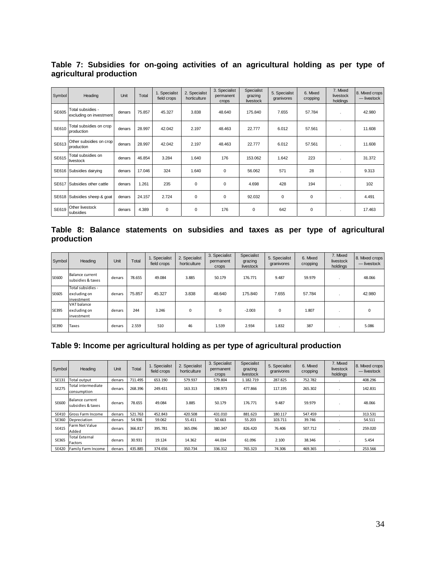<span id="page-33-0"></span>**Table 7: Subsidies for on-going activities of an agricultural holding as per type of agricultural production**

| Symbol | Heading                                      | Unit   | Total  | 1. Specialist<br>field crops | 2. Specialist<br>horticulture | 3. Specialist<br>permanent<br>crops | Specialist<br>grazing<br>livestock | 5. Specialist<br>granivores | 6. Mixed<br>cropping | 7. Mixed<br>livestock<br>holdings | 8. Mixed crops<br>— livestock |
|--------|----------------------------------------------|--------|--------|------------------------------|-------------------------------|-------------------------------------|------------------------------------|-----------------------------|----------------------|-----------------------------------|-------------------------------|
| SE605  | Total subsidies -<br>excluding on investment | denars | 75.857 | 45.327                       | 3.838                         | 48.640                              | 175.840                            | 7.655                       | 57.784               |                                   | 42.980                        |
| SE610  | Total subsidies on crop<br>production        | denars | 28.997 | 42.042                       | 2.197                         | 48.463                              | 22,777                             | 6.012                       | 57.561               |                                   | 11.608                        |
| SE613  | Other subsidies on crop<br>production        | denars | 28.997 | 42.042                       | 2.197                         | 48.463                              | 22.777                             | 6.012                       | 57.561               |                                   | 11.608                        |
| SE615  | Total subsidies on<br>livestock              | denars | 46.854 | 3.284                        | 1.640                         | 176                                 | 153.062                            | 1.642                       | 223                  | $\cdot$                           | 31.372                        |
|        | SE616 Subsidies dairying                     | denars | 17.046 | 324                          | 1.640                         | 0                                   | 56.062                             | 571                         | 28                   |                                   | 9.313                         |
| SE617  | Subsidies other cattle                       | denars | 1.261  | 235                          | 0                             | 0                                   | 4.698                              | 428                         | 194                  | $\mathbf{r}$                      | 102                           |
|        | SE618 Subsidies sheep & goat                 | denars | 24.157 | 2.724                        | $\Omega$                      | $\Omega$                            | 92.032                             | $\Omega$                    | 0                    | $\mathbf{r}$                      | 4.491                         |
|        | SE619 Other livestock<br>subsidies           | denars | 4.389  | 0                            | $\mathbf 0$                   | 176                                 | $\mathbf 0$                        | 642                         | 0                    | $\mathbf{r}$                      | 17.463                        |

<span id="page-33-1"></span>**Table 8: Balance statements on subsidies and taxes as per type of agricultural production**

| <b>Symbol</b> | Heading                                         | Unit   | Total  | 1. Specialist<br>field crops | 2. Specialist<br>horticulture | 3. Specialist<br>permanent<br>crops | Specialist<br>grazing<br>livestock | 5. Specialist<br>granivores | 6. Mixed<br>cropping | 7. Mixed<br>livestock<br>holdings | 8. Mixed crops<br>- livestock |
|---------------|-------------------------------------------------|--------|--------|------------------------------|-------------------------------|-------------------------------------|------------------------------------|-----------------------------|----------------------|-----------------------------------|-------------------------------|
| <b>SE600</b>  | Balance current<br>subsidies & taxes            | denars | 78.655 | 49.084                       | 3.885                         | 50.179                              | 176.771                            | 9.487                       | 59.979               |                                   | 48.066                        |
| SE605         | Total subsidies -<br>excluding on<br>investment | denars | 75.857 | 45.327                       | 3.838                         | 48.640                              | 175,840                            | 7.655                       | 57.784               |                                   | 42.980                        |
| SE395         | VAT balance<br>excluding on<br>investment       | denars | 244    | 3.246                        | $\Omega$                      | 0                                   | $-2.003$                           | $\Omega$                    | 1.807                |                                   | $\Omega$                      |
| SE390         | Taxes                                           | denars | 2.559  | 510                          | 46                            | 1.539                               | 2.934                              | 1.832                       | 387                  |                                   | 5.086                         |

### <span id="page-33-2"></span>**Table 9: Income per agricultural holding as per type of agricultural production**

| Symbol       | Heading                              | Unit   | Total   | 1. Specialist<br>field crops | 2. Specialist<br>horticulture | 3. Specialist<br>permanent<br><b>Crops</b> | Specialist<br>grazing<br>livestock | 5. Specialist<br>granivores | 6. Mixed<br>cropping | 7. Mixed<br>livestock<br>holdings | 8. Mixed crops<br>— livestock |
|--------------|--------------------------------------|--------|---------|------------------------------|-------------------------------|--------------------------------------------|------------------------------------|-----------------------------|----------------------|-----------------------------------|-------------------------------|
| SE131        | Total output                         | denars | 711.495 | 653.190                      | 579.937                       | 579.804                                    | 1.182.719                          | 287.825                     | 752.782              |                                   | 408.296                       |
| SE275        | Total intermediate<br>consumption    | denars | 268.396 | 249.431                      | 163.313                       | 198.973                                    | 477.866                            | 117.195                     | 265.302              |                                   | 142.831                       |
| SE600        | Balance current<br>subsidies & taxes | denars | 78.655  | 49.084                       | 3.885                         | 50.179                                     | 176.771                            | 9.487                       | 59.979               |                                   | 48.066                        |
| SE410        | Gross Farm Income                    | denars | 521.763 | 452.843                      | 420.508                       | 431.010                                    | 881.623                            | 180.117                     | 547.459              |                                   | 313.531                       |
| SE360        | Depreciation                         | denars | 54.936  | 59.062                       | 55.411                        | 50.663                                     | 55.203                             | 103.711                     | 39.746               |                                   | 54.511                        |
| SE415        | Farm Net Value<br>Added              | denars | 366.817 | 395.781                      | 365.096                       | 380.347                                    | 826.420                            | 76.406                      | 507.712              |                                   | 259.020                       |
| SE365        | <b>Total External</b><br>Factors     | denars | 30.931  | 19.124                       | 14.362                        | 44.034                                     | 61.096                             | 2.100                       | 38.346               |                                   | 5.454                         |
| <b>SE420</b> | Family Farm Income                   | denars | 435.885 | 374.656                      | 350.734                       | 336.312                                    | 765.323                            | 74.306                      | 469.365              |                                   | 253.566                       |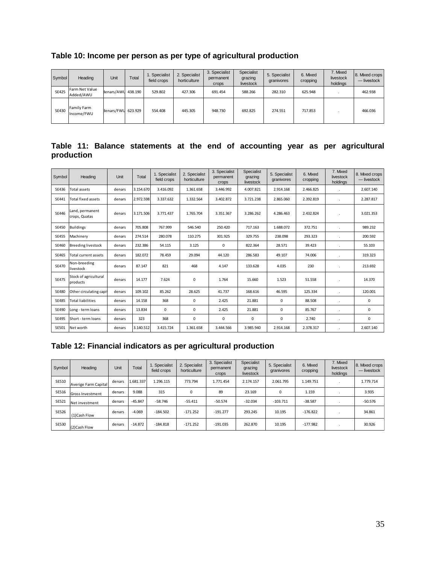<span id="page-34-0"></span>

| Table 10: Income per person as per type of agricultural production |  |  |  |  |
|--------------------------------------------------------------------|--|--|--|--|
|--------------------------------------------------------------------|--|--|--|--|

| Symbol       | Heading                     | Unit               | Total | 1. Specialist<br>field crops | 2. Specialist<br>horticulture | 3. Specialist<br>permanent<br>crops | Specialist<br>grazing<br>livestock | 5. Specialist<br>granivores | 6. Mixed<br>cropping | 7. Mixed<br>livestock<br>holdinas | 8. Mixed crops<br>- livestock |
|--------------|-----------------------------|--------------------|-------|------------------------------|-------------------------------|-------------------------------------|------------------------------------|-----------------------------|----------------------|-----------------------------------|-------------------------------|
| <b>SE425</b> | Farm Net Value<br>Added/AWU | denars/AWU 438.190 |       | 529.802                      | 427.306                       | 691.454                             | 588.266                            | 282.310                     | 625.948              |                                   | 462.938                       |
| SE430        | Family Farm<br>Income/FWU   | denars/FWU 623.929 |       | 554.408                      | 445.305                       | 948.730                             | 692.825                            | 274.551                     | 717.853              |                                   | 466.036                       |

<span id="page-34-1"></span>

|            |  | Table 11: Balance statements at the end of accounting year as per agricultural |  |  |  |  |  |
|------------|--|--------------------------------------------------------------------------------|--|--|--|--|--|
| production |  |                                                                                |  |  |  |  |  |

| Symbol       | Heading                           | Unit   | Total     | 1. Specialist<br>field crops | 2. Specialist<br>horticulture | 3. Specialist<br>permanent<br>crops | Specialist<br>grazing<br>livestock | 5. Specialist<br>granivores | 6. Mixed<br>cropping | 7. Mixed<br>livestock<br>holdings | 8. Mixed crops<br>$-$ livestock |
|--------------|-----------------------------------|--------|-----------|------------------------------|-------------------------------|-------------------------------------|------------------------------------|-----------------------------|----------------------|-----------------------------------|---------------------------------|
| SE436        | <b>Total assets</b>               | denars | 3.154.670 | 3.416.092                    | 1.361.658                     | 3.446.992                           | 4.007.821                          | 2.914.168                   | 2.466.825            | $\mathbf{r}$                      | 2.607.140                       |
| SE441        | <b>Total fixed assets</b>         | denars | 2.972.598 | 3.337.632                    | 1.332.564                     | 3.402.872                           | 3.721.238                          | 2.865.060                   | 2.392.819            | ×.                                | 2.287.817                       |
| SE446        | Land, permanent<br>crops, Quatas  | denars | 3.171.506 | 3.771.437                    | 1.765.704                     | 3.351.367                           | 3.286.262                          | 4.286.463                   | 2.432.824            |                                   | 3.021.353                       |
| <b>SE450</b> | <b>Buildings</b>                  | denars | 705.808   | 767.999                      | 546.540                       | 250.420                             | 717.163                            | 1.688.072                   | 372.751              |                                   | 989.232                         |
| <b>SE455</b> | Machinerv                         | denars | 274.514   | 280.078                      | 110.275                       | 301.925                             | 329.755                            | 238.098                     | 293.323              |                                   | 200.592                         |
| SE460        | <b>Breeding livestock</b>         | denars | 232.386   | 54.115                       | 3.125                         | 0                                   | 822.364                            | 28.571                      | 39.423               |                                   | 55.103                          |
| SE465        | Total current assets              | denars | 182.072   | 78.459                       | 29.094                        | 44.120                              | 286.583                            | 49.107                      | 74.006               |                                   | 319.323                         |
| SF470        | Non-breeding<br>livestock         | denars | 87.147    | 821                          | 468                           | 4.147                               | 133.628                            | 4.035                       | 230                  |                                   | 213.692                         |
| <b>SE475</b> | Stock of agricultural<br>products | denars | 14.177    | 7.624                        | 0                             | 1.764                               | 15.660                             | 1.523                       | 51.558               |                                   | 14.370                          |
| <b>SE480</b> | Other circulating capit           | denars | 109.102   | 85.262                       | 28.625                        | 41.737                              | 168.616                            | 46.595                      | 125.334              |                                   | 120.001                         |
| <b>SE485</b> | <b>Total liabilities</b>          | denars | 14.158    | 368                          | 0                             | 2.425                               | 21.881                             | 0                           | 88.508               |                                   | 0                               |
| SE490        | Long - term loans                 | denars | 13.834    | $\Omega$                     | 0                             | 2.425                               | 21.881                             | $\Omega$                    | 85.767               |                                   | $\mathbf 0$                     |
| <b>SE495</b> | Short - term loans                | denars | 323       | 368                          | 0                             | $\Omega$                            | 0                                  | $\Omega$                    | 2.740                |                                   | 0                               |
| SE501        | Net worth                         | denars | 3.140.512 | 3.415.724                    | 1.361.658                     | 3.444.566                           | 3.985.940                          | 2.914.168                   | 2.378.317            |                                   | 2.607.140                       |

# <span id="page-34-2"></span>**Table 12: Financial indicators as per agricultural production**

| Symbol | Heading                 | Unit   | Total     | 1. Specialist<br>field crops | 2. Specialist<br>horticulture | 3. Specialist<br>permanent<br>crops | Specialist<br>grazing<br>livestock | 5. Specialist<br>granivores | 6. Mixed<br>cropping | 7. Mixed<br>livestock<br>holdings | 8. Mixed crops<br>— livestock |
|--------|-------------------------|--------|-----------|------------------------------|-------------------------------|-------------------------------------|------------------------------------|-----------------------------|----------------------|-----------------------------------|-------------------------------|
| SE510  | Averige Farm Capital    | denars | 1.681.337 | 1.296.115                    | 773.794                       | 1.771.454                           | 2.174.157                          | 2.061.795                   | 1.149.751            |                                   | 1.779.714                     |
| SE516  | <b>Gross Investment</b> | denars | 9.088     | 315                          | 0                             | 89                                  | 23.169                             | 0                           | 1.159                |                                   | 3.935                         |
| SE521  | Net investment          | denars | $-45.847$ | $-58.746$                    | $-55.411$                     | $-50.574$                           | $-32.034$                          | $-103.711$                  | $-38.587$            |                                   | $-50.576$                     |
| SE526  | (1)Cash Flow            | denars | $-4.069$  | $-184.502$                   | $-171.252$                    | $-191.277$                          | 293.245                            | 10.195                      | $-176.822$           |                                   | 34.861                        |
| SE530  | (2) Cash Flow           | denars | $-14.872$ | $-184.818$                   | $-171.252$                    | $-191.035$                          | 262.870                            | 10.195                      | $-177.982$           |                                   | 30.926                        |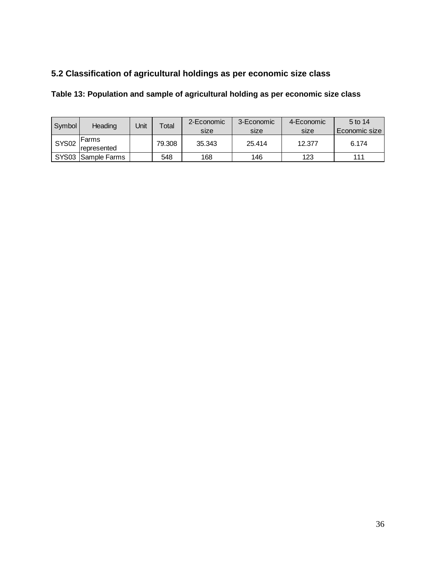# <span id="page-35-0"></span>**5.2 Classification of agricultural holdings as per economic size class**

# <span id="page-35-1"></span>**Table 13: Population and sample of agricultural holding as per economic size class**

| Symbol       | Heading            | Jnit | Total  | 2-Economic | 3-Economic | 4-Economic | 5 to 14         |
|--------------|--------------------|------|--------|------------|------------|------------|-----------------|
|              |                    |      |        | size       | size       | size       | Economic size l |
| <b>SYS02</b> | lFarms             |      | 79.308 | 35.343     | 25.414     | 12.377     | 6.174           |
|              | Irepresented       |      |        |            |            |            |                 |
|              | SYS03 Sample Farms |      | 548    | 168        | 146        | 123        | 111             |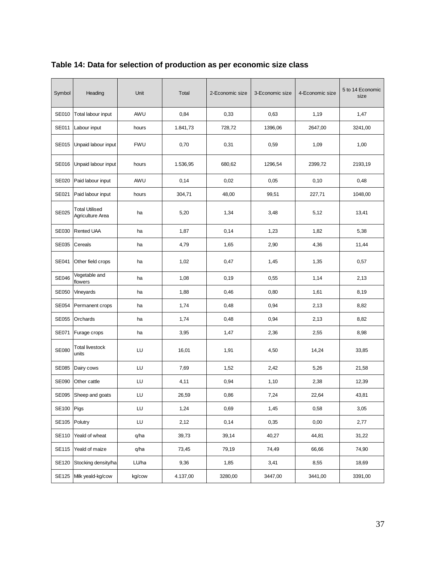| Symbol       | Heading                                   | Unit       | Total    | 2-Economic size | 3-Economic size | 4-Economic size | 5 to 14 Economic<br>size |
|--------------|-------------------------------------------|------------|----------|-----------------|-----------------|-----------------|--------------------------|
| SE010        | Total labour input                        | AWU        | 0,84     | 0,33            | 0,63            | 1,19            | 1,47                     |
| SE011        | Labour input                              | hours      | 1.841,73 | 728,72          | 1396,06         | 2647,00         | 3241,00                  |
| <b>SE015</b> | Unpaid labour input                       | <b>FWU</b> | 0,70     | 0,31            | 0,59            | 1,09            | 1,00                     |
| SE016        | Unpaid labour input                       | hours      | 1.536,95 | 680,62          | 1296,54         | 2399,72         | 2193,19                  |
| SE020        | Paid labour input                         | AWU        | 0,14     | 0,02            | 0,05            | 0,10            | 0,48                     |
| SE021        | Paid labour input                         | hours      | 304,71   | 48,00           | 99,51           | 227,71          | 1048,00                  |
| SE025        | <b>Total Utilised</b><br>Agriculture Area | ha         | 5,20     | 1,34            | 3,48            | 5,12            | 13,41                    |
| SE030        | <b>Rented UAA</b>                         | ha         | 1,87     | 0,14            | 1,23            | 1,82            | 5,38                     |
| SE035        | Cereals                                   | ha         | 4,79     | 1,65            | 2,90            | 4,36            | 11,44                    |
| SE041        | Other field crops                         | ha         | 1,02     | 0,47            | 1,45            | 1,35            | 0,57                     |
| <b>SE046</b> | Vegetable and<br>flowers                  | ha         | 1,08     | 0,19            | 0,55            | 1,14            | 2,13                     |
| SE050        | Vineyards                                 | ha         | 1,88     | 0,46            | 0,80            | 1,61            | 8,19                     |
| SE054        | Permanent crops                           | ha         | 1,74     | 0,48            | 0,94            | 2,13            | 8,82                     |
| <b>SE055</b> | Orchards                                  | ha         | 1,74     | 0,48            | 0,94            | 2,13            | 8,82                     |
| SE071        | Furage crops                              | ha         | 3,95     | 1,47            | 2,36            | 2,55            | 8,98                     |
| <b>SE080</b> | Total livestock<br>units                  | LU         | 16,01    | 1,91            | 4,50            | 14,24           | 33,85                    |
| SE085        | Dairy cows                                | LU         | 7,69     | 1,52            | 2,42            | 5,26            | 21,58                    |
| SE090        | Other cattle                              | LU         | 4,11     | 0,94            | 1,10            | 2,38            | 12,39                    |
|              | SE095 Sheep and goats                     | LU         | 26,59    | 0,86            | 7,24            | 22,64           | 43,81                    |
| SE100        | Pigs                                      | LU         | 1,24     | 0,69            | 1,45            | 0,58            | 3,05                     |
| SE105        | Polutry                                   | LU         | 2,12     | 0,14            | 0,35            | 0,00            | 2,77                     |
| <b>SE110</b> | Yeald of wheat                            | q/ha       | 39,73    | 39,14           | 40,27           | 44,81           | 31,22                    |
| <b>SE115</b> | Yeald of maize                            | q/ha       | 73,45    | 79,19           | 74,49           | 66,66           | 74,90                    |
| <b>SE120</b> | Stocking density/ha                       | LU/ha      | 9,36     | 1,85            | 3,41            | 8,55            | 18,69                    |
| <b>SE125</b> | Milk yeald-kg/cow                         | kg/cow     | 4.137,00 | 3280,00         | 3447,00         | 3441,00         | 3391,00                  |

# <span id="page-36-0"></span>**Table 14: Data for selection of production as per economic size class**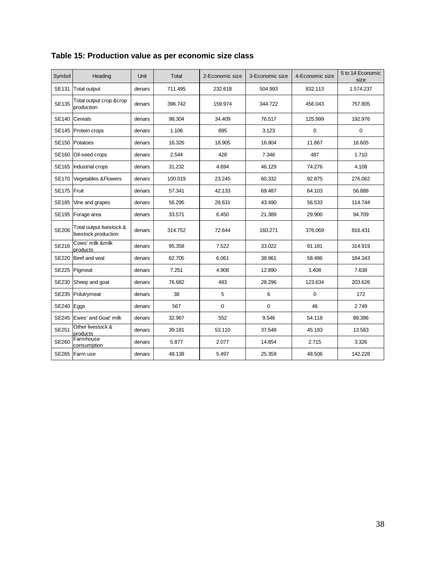| Symbol       | Heading                                          | <b>Unit</b> | Total   | 2-Economic size | 3-Economic size | 4-Economic size | 5 to 14 Economic<br>size |
|--------------|--------------------------------------------------|-------------|---------|-----------------|-----------------|-----------------|--------------------------|
| <b>SE131</b> | <b>Total output</b>                              | denars      | 711.495 | 232.618         | 504.993         | 832.113         | 1.574.237                |
| <b>SE135</b> | Total output crop &crop<br>production            | denars      | 396.742 | 159.974         | 344.722         | 456.043         | 757.805                  |
| <b>SE140</b> | Cereals                                          | denars      | 98.304  | 34.409          | 76.517          | 125.999         | 192.976                  |
|              | SE145 Protein crops                              | denars      | 1.106   | 895             | 3.123           | $\mathbf 0$     | $\mathbf 0$              |
|              | SE150 Potatoes                                   | denars      | 16.326  | 18.905          | 16.904          | 11.867          | 16.605                   |
| <b>SE160</b> | Oil-seed crops                                   | denars      | 2.544   | 428             | 7.346           | 487             | 1.710                    |
|              | SE165 Industrial crops                           | denars      | 31.232  | 4.694           | 46.129          | 74.276          | 4.108                    |
| <b>SE170</b> | Vegetables & Flowers                             | denars      | 100.019 | 23.245          | 60.332          | 92.875          | 276.062                  |
| SE175 Fruit  |                                                  | denars      | 57.341  | 42.133          | 69.487          | 64.103          | 56.888                   |
|              | SE185 Vine and grapes                            | denars      | 56.295  | 28.631          | 43.490          | 56.533          | 114.744                  |
|              | SE195 Forage area                                | denars      | 33.571  | 6.450           | 21.389          | 29.900          | 94.709                   |
| <b>SE206</b> | Total output livestock &<br>livestock production | denars      | 314.752 | 72.644          | 160.271         | 376.069         | 816.431                  |
| SE216        | Cows' milk &milk<br>products                     | denars      | 95.358  | 7.522           | 33.022          | 91.181          | 314.919                  |
| <b>SE220</b> | Beef and veal                                    | denars      | 62.705  | 6.061           | 38.961          | 58.486          | 184.343                  |
|              | SE225 Pigmeat                                    | denars      | 7.251   | 4.908           | 12.890          | 3.408           | 7.638                    |
| <b>SE230</b> | Sheep and goat                                   | denars      | 76.682  | 483             | 28.296          | 123.634         | 203.626                  |
|              | SE235 Polutrymeat                                | denars      | 38      | 5               | 6               | $\mathbf 0$     | 172                      |
| SE240 Eggs   |                                                  | denars      | 567     | $\mathbf 0$     | $\mathbf 0$     | 46              | 2.749                    |
|              | SE245   Ewes' and Goat' milk                     | denars      | 32.967  | 552             | 9.546           | 54.118          | 89.396                   |
| SE251        | Other livestock &<br>products                    | denars      | 39.181  | 53.110          | 37.548          | 45.193          | 13.583                   |
| <b>SE260</b> | Farmhouse<br>consumption                         | denars      | 5.877   | 2.077           | 14.854          | 2.715           | 3.326                    |
|              | SE265 Farm use                                   | denars      | 48.138  | 5.497           | 25.359          | 48.506          | 142.228                  |

# <span id="page-37-0"></span>**Table 15: Production value as per economic size class**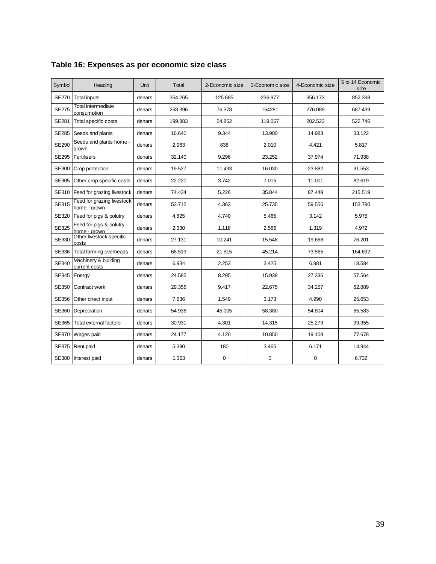| Symbol       | Heading                                    | <b>Unit</b> | Total   | 2-Economic size | 3-Economic size | 4-Economic size | 5 to 14 Economic<br>size |
|--------------|--------------------------------------------|-------------|---------|-----------------|-----------------|-----------------|--------------------------|
| <b>SE270</b> | <b>Total inputs</b>                        | denars      | 354.265 | 125.685         | 236.977         | 356.173         | 852.398                  |
| <b>SE275</b> | Total intermediate<br>consumption          | denars      | 268.396 | 76.378          | 164281          | 276.089         | 687.439                  |
| <b>SE281</b> | <b>Total specific costs</b>                | denars      | 199.883 | 54.862          | 119.067         | 202.523         | 522.746                  |
| <b>SE285</b> | Seeds and plants                           | denars      | 16.640  | 9.344           | 13.900          | 14.983          | 33.122                   |
| <b>SE290</b> | Seeds and plants home -<br>arown           | denars      | 2.963   | 838             | 2.010           | 4.421           | 5.817                    |
| <b>SE295</b> | Fertilisers                                | denars      | 32.140  | 9.296           | 23.252          | 37.974          | 71.938                   |
| <b>SE300</b> | Crop protection                            | denars      | 19.527  | 11.433          | 16.030          | 23.882          | 31.553                   |
| <b>SE305</b> | Other crop specific costs                  | denars      | 22.220  | 3.742           | 7.015           | 11.001          | 82.619                   |
| SE310        | Feed for grazing livestock                 | denars      | 74.434  | 5.226           | 35.844          | 87.449          | 215.519                  |
| SE315        | Feed for grazing livestock<br>home - grown | denars      | 52.712  | 4.363           | 25.735          | 59.556          | 153.790                  |
| SE320        | Feed for pigs & polutry                    | denars      | 4.825   | 4.740           | 5.465           | 3.142           | 5.975                    |
| <b>SE325</b> | Feed for pigs & polutry<br>home - grown    | denars      | 2.330   | 1.118           | 2.566           | 1.319           | 4.972                    |
| SE330        | Other livestock specific<br>costs          | denars      | 27.131  | 10.241          | 15.548          | 19.668          | 76.201                   |
| SE336        | Total farming overheads                    | denars      | 68.513  | 21.515          | 45.214          | 73.565          | 164.692                  |
| SE340        | Machinery & building<br>current costs      | denars      | 6.934   | 2.253           | 3.425           | 6.981           | 18.584                   |
| SE345        | Energy                                     | denars      | 24.585  | 8.295           | 15.939          | 27.336          | 57.564                   |
| SE350        | Contract work                              | denars      | 29.356  | 9.417           | 22.675          | 34.257          | 62.889                   |
| SE356        | Other direct input                         | denars      | 7.636   | 1.549           | 3.173           | 4.990           | 25.653                   |
| SE360        | Depreciation                               | denars      | 54.936  | 45.005          | 58.380          | 54.804          | 65.583                   |
| SE365        | Total external factors                     | denars      | 30.931  | 4.301           | 14.315          | 25.279          | 99.355                   |
| <b>SE370</b> | Wages paid                                 | denars      | 24.177  | 4.120           | 10.850          | 19.108          | 77.678                   |
| <b>SE375</b> | Rent paid                                  | denars      | 5.390   | 180             | 3.465           | 6.171           | 14.944                   |
| SE380        | Interest paid                              | denars      | 1.363   | 0               | 0               | $\mathbf 0$     | 6.732                    |

# <span id="page-38-0"></span>**Table 16: Expenses as per economic size class**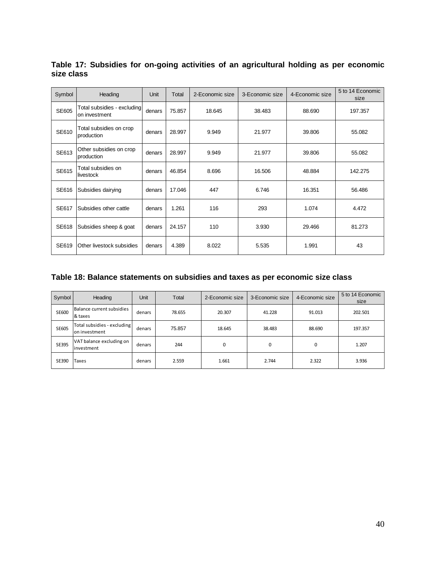| Symbol | Heading                                      | Unit   | Total  | 2-Economic size | 3-Economic size | 4-Economic size | 5 to 14 Economic<br>size |
|--------|----------------------------------------------|--------|--------|-----------------|-----------------|-----------------|--------------------------|
| SE605  | Total subsidies - excluding<br>on investment | denars | 75.857 | 18.645          | 38.483          | 88.690          | 197.357                  |
| SE610  | Total subsidies on crop<br>production        | denars | 28.997 | 9.949           | 21.977          | 39.806          | 55.082                   |
| SE613  | Other subsidies on crop<br>production        | denars | 28.997 | 9.949           | 21.977          | 39.806          | 55.082                   |
| SE615  | Total subsidies on<br>livestock              | denars | 46.854 | 8.696           | 16.506          | 48.884          | 142.275                  |
| SE616  | Subsidies dairying                           | denars | 17.046 | 447             | 6.746           | 16.351          | 56.486                   |
| SE617  | Subsidies other cattle                       | denars | 1.261  | 116             | 293             | 1.074           | 4.472                    |
| SE618  | Subsidies sheep & goat                       | denars | 24.157 | 110             | 3.930           | 29.466          | 81.273                   |
| SE619  | Other livestock subsidies                    | denars | 4.389  | 8.022           | 5.535           | 1.991           | 43                       |

<span id="page-39-0"></span>**Table 17: Subsidies for on-going activities of an agricultural holding as per economic size class** 

# <span id="page-39-1"></span>**Table 18: Balance statements on subsidies and taxes as per economic size class**

| Symbol       | Heading                                      | Unit   | Total  | 2-Economic size | 3-Economic size | 4-Economic size | 5 to 14 Economic<br>size |
|--------------|----------------------------------------------|--------|--------|-----------------|-----------------|-----------------|--------------------------|
| SE600        | Balance current subsidies<br>& taxes         | denars | 78.655 | 20.307          | 41.228          | 91.013          | 202.501                  |
| <b>SE605</b> | Total subsidies - excluding<br>on investment | denars | 75.857 | 18.645          | 38.483          | 88.690          | 197.357                  |
| SE395        | VAT balance excluding on<br>linvestment      | denars | 244    | 0               | 0               | 0               | 1.207                    |
| SE390        | <b>Taxes</b>                                 | denars | 2.559  | 1.661           | 2.744           | 2.322           | 3.936                    |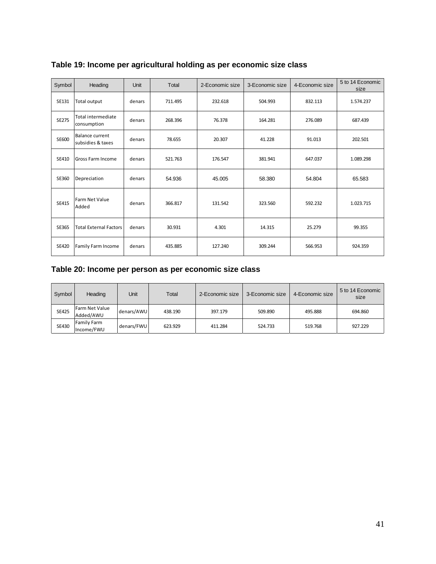| Symbol       | Heading                                     | Unit   | Total   | 2-Economic size | 3-Economic size | 4-Economic size | 5 to 14 Economic<br>size |
|--------------|---------------------------------------------|--------|---------|-----------------|-----------------|-----------------|--------------------------|
| SE131        | Total output                                | denars | 711.495 | 232.618         | 504.993         | 832.113         | 1.574.237                |
| SE275        | <b>Total intermediate</b><br>consumption    | denars | 268.396 | 76.378          | 164.281         | 276.089         | 687.439                  |
| SE600        | <b>Balance current</b><br>subsidies & taxes | denars | 78.655  | 20.307          | 41.228          | 91.013          | 202.501                  |
| SE410        | Gross Farm Income                           | denars | 521.763 | 176.547         | 381.941         | 647.037         | 1.089.298                |
| SE360        | Depreciation                                | denars | 54.936  | 45.005          | 58.380          | 54.804          | 65.583                   |
| SE415        | Farm Net Value<br>Added                     | denars | 366.817 | 131.542         | 323.560         | 592.232         | 1.023.715                |
| SE365        | <b>Total External Factors</b>               | denars | 30.931  | 4.301           | 14.315          | 25.279          | 99.355                   |
| <b>SE420</b> | Family Farm Income                          | denars | 435.885 | 127.240         | 309.244         | 566.953         | 924.359                  |

# <span id="page-40-0"></span>**Table 19: Income per agricultural holding as per economic size class**

### <span id="page-40-1"></span>**Table 20: Income per person as per economic size class**

| Symbol       | Heading                     | Unit       | Total   | 2-Economic size | 3-Economic size | 4-Economic size | 5 to 14 Economic<br>size |
|--------------|-----------------------------|------------|---------|-----------------|-----------------|-----------------|--------------------------|
| <b>SE425</b> | Farm Net Value<br>Added/AWU | denars/AWU | 438.190 | 397.179         | 509.890         | 495.888         | 694.860                  |
| SE430        | Family Farm<br>Income/FWU   | denars/FWU | 623.929 | 411.284         | 524.733         | 519.768         | 927.229                  |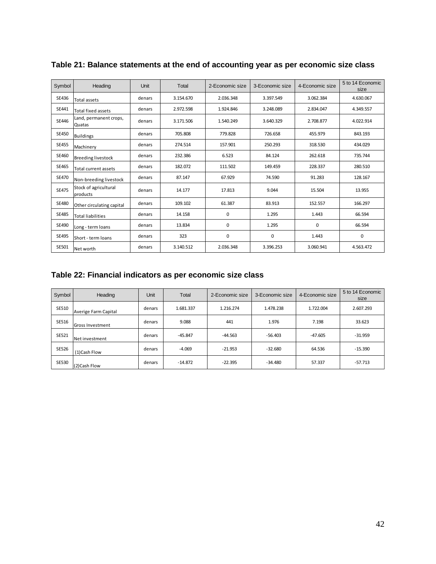| Symbol       | Heading                           | Unit   | Total     | 2-Economic size | 3-Economic size | 4-Economic size | 5 to 14 Economic<br>size |
|--------------|-----------------------------------|--------|-----------|-----------------|-----------------|-----------------|--------------------------|
| SE436        | Total assets                      | denars | 3.154.670 | 2.036.348       | 3.397.549       | 3.062.384       | 4.630.067                |
| SE441        | Total fixed assets                | denars | 2.972.598 | 1.924.846       | 3.248.089       | 2.834.047       | 4.349.557                |
| SE446        | Land, permanent crops,<br>Quatas  | denars | 3.171.506 | 1.540.249       | 3.640.329       | 2.708.877       | 4.022.914                |
| <b>SE450</b> | <b>Buildings</b>                  | denars | 705.808   | 779.828         | 726.658         | 455.979         | 843.193                  |
| <b>SE455</b> | Machinery                         | denars | 274.514   | 157.901         | 250.293         | 318.530         | 434.029                  |
| SE460        | <b>Breeding livestock</b>         | denars | 232.386   | 6.523           | 84.124          | 262.618         | 735.744                  |
| SE465        | Total current assets              | denars | 182.072   | 111.502         | 149.459         | 228.337         | 280.510                  |
| <b>SE470</b> | Non-breeding livestock            | denars | 87.147    | 67.929          | 74.590          | 91.283          | 128.167                  |
| <b>SE475</b> | Stock of agricultural<br>products | denars | 14.177    | 17.813          | 9.044           | 15.504          | 13.955                   |
| <b>SE480</b> | Other circulating capital         | denars | 109.102   | 61.387          | 83.913          | 152.557         | 166.297                  |
| <b>SE485</b> | <b>Total liabilities</b>          | denars | 14.158    | $\mathbf 0$     | 1.295           | 1.443           | 66.594                   |
| SE490        | Long - term loans                 | denars | 13.834    | $\mathbf 0$     | 1.295           | 0               | 66.594                   |
| <b>SE495</b> | Short - term loans                | denars | 323       | $\mathbf 0$     | $\mathbf 0$     | 1.443           | $\mathbf 0$              |
| SE501        | Net worth                         | denars | 3.140.512 | 2.036.348       | 3.396.253       | 3.060.941       | 4.563.472                |

<span id="page-41-0"></span>**Table 21: Balance statements at the end of accounting year as per economic size class** 

### <span id="page-41-1"></span>**Table 22: Financial indicators as per economic size class**

| Symbol       | Heading                 | Unit   | Total     | 2-Economic size | 3-Economic size | 4-Economic size | 5 to 14 Economic<br>size |
|--------------|-------------------------|--------|-----------|-----------------|-----------------|-----------------|--------------------------|
| SE510        | Averige Farm Capital    | denars | 1.681.337 | 1.216.274       | 1.478.238       | 1.722.004       | 2.607.293                |
| SE516        | <b>Gross Investment</b> | denars | 9.088     | 441             | 1.976           | 7.198           | 33.623                   |
| <b>SE521</b> | Net investment          | denars | $-45.847$ | $-44.563$       | $-56.403$       | $-47.605$       | $-31.959$                |
| <b>SE526</b> | (1)Cash Flow            | denars | $-4.069$  | $-21.953$       | $-32.680$       | 64.536          | $-15.390$                |
| <b>SE530</b> | (2) Cash Flow           | denars | $-14.872$ | $-22.395$       | $-34.480$       | 57.337          | $-57.713$                |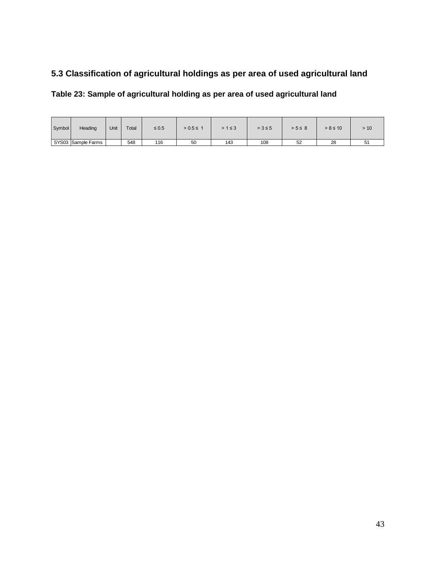# <span id="page-42-0"></span>**5.3 Classification of agricultural holdings as per area of used agricultural land**

### <span id="page-42-1"></span>**Table 23: Sample of agricultural holding as per area of used agricultural land**

| Symbol | Heading            | Unit | Total | $\leq 0.5$ | $> 0.5 \le 1$ | $>1 \leq 3$ | $> 3 \le 5$ | $> 5 \leq 8$ | $> 8 \le 10$ | > 10    |
|--------|--------------------|------|-------|------------|---------------|-------------|-------------|--------------|--------------|---------|
|        | SYS03 Sample Farms |      | 548   | 116        | 50            | 143         | 108         | 52           | 28           | ∽<br>ان |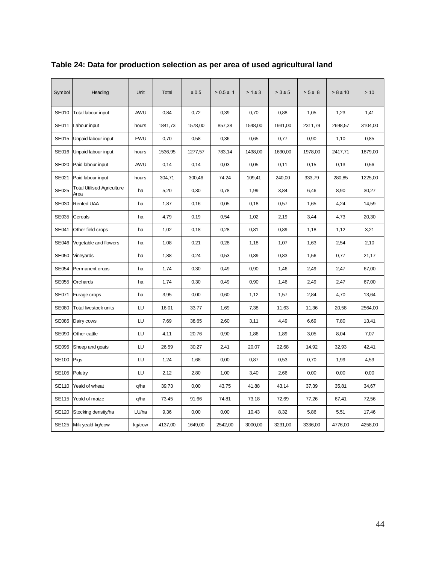| Symbol       | Heading                                   | Unit       | Total   | $\leq 0.5$ | $> 0.5 \le 1$ | $>1 \leq 3$ | $> 3 \leq 5$ | $> 5 \leq 8$ | $> 8 \le 10$ | >10     |
|--------------|-------------------------------------------|------------|---------|------------|---------------|-------------|--------------|--------------|--------------|---------|
| <b>SE010</b> | Total labour input                        | AWU        | 0,84    | 0,72       | 0,39          | 0,70        | 0,88         | 1,05         | 1,23         | 1,41    |
| <b>SE011</b> | Labour input                              | hours      | 1841,73 | 1578,00    | 857,38        | 1548,00     | 1931,00      | 2311,79      | 2698,57      | 3104,00 |
| <b>SE015</b> | Unpaid labour input                       | <b>FWU</b> | 0,70    | 0,58       | 0,36          | 0,65        | 0,77         | 0,90         | 1,10         | 0,85    |
| SE016        | Unpaid labour input                       | hours      | 1536,95 | 1277,57    | 783,14        | 1438,00     | 1690,00      | 1978,00      | 2417,71      | 1879,00 |
| <b>SE020</b> | Paid labour input                         | AWU        | 0,14    | 0,14       | 0,03          | 0,05        | 0,11         | 0,15         | 0,13         | 0,56    |
| SE021        | Paid labour input                         | hours      | 304,71  | 300,46     | 74,24         | 109,41      | 240,00       | 333,79       | 280,85       | 1225,00 |
| <b>SE025</b> | <b>Total Utilised Agriculture</b><br>Area | ha         | 5,20    | 0,30       | 0,78          | 1,99        | 3,84         | 6,46         | 8,90         | 30,27   |
| SE030        | <b>Rented UAA</b>                         | ha         | 1,87    | 0,16       | 0,05          | 0,18        | 0,57         | 1,65         | 4,24         | 14,59   |
| SE035        | Cereals                                   | ha         | 4,79    | 0, 19      | 0,54          | 1,02        | 2,19         | 3,44         | 4,73         | 20,30   |
| SE041        | Other field crops                         | ha         | 1,02    | 0,18       | 0,28          | 0,81        | 0,89         | 1,18         | 1,12         | 3,21    |
| <b>SE046</b> | Vegetable and flowers                     | ha         | 1,08    | 0,21       | 0,28          | 1,18        | 1,07         | 1,63         | 2,54         | 2,10    |
| SE050        | Vineyards                                 | ha         | 1,88    | 0,24       | 0,53          | 0,89        | 0,83         | 1,56         | 0,77         | 21,17   |
| SE054        | Permanent crops                           | ha         | 1,74    | 0,30       | 0,49          | 0,90        | 1,46         | 2,49         | 2,47         | 67,00   |
| <b>SE055</b> | Orchards                                  | ha         | 1,74    | 0,30       | 0,49          | 0,90        | 1,46         | 2,49         | 2,47         | 67,00   |
| SE071        | Furage crops                              | ha         | 3,95    | 0,00       | 0,60          | 1,12        | 1,57         | 2,84         | 4,70         | 13,64   |
| <b>SE080</b> | Total livestock units                     | LU         | 16,01   | 33,77      | 1,69          | 7,38        | 11,63        | 11,36        | 20,58        | 2564,00 |
| <b>SE085</b> | Dairy cows                                | LU         | 7,69    | 38,65      | 2,60          | 3,11        | 4,49         | 6,69         | 7,80         | 13,41   |
| <b>SE090</b> | Other cattle                              | LU         | 4,11    | 20,76      | 0,90          | 1,86        | 1,89         | 3,05         | 8,04         | 7,07    |
| <b>SE095</b> | Sheep and goats                           | LU         | 26,59   | 30,27      | 2,41          | 20,07       | 22,68        | 14,92        | 32,93        | 42,41   |
| SE100        | Pigs                                      | LU         | 1,24    | 1,68       | 0,00          | 0,87        | 0,53         | 0,70         | 1,99         | 4,59    |
| SE105        | Polutry                                   | LU         | 2,12    | 2,80       | 1,00          | 3,40        | 2,66         | 0,00         | 0,00         | 0,00    |
| SE110        | Yeald of wheat                            | q/ha       | 39,73   | 0,00       | 43,75         | 41,88       | 43,14        | 37,39        | 35,81        | 34,67   |
| <b>SE115</b> | Yeald of maize                            | q/ha       | 73,45   | 91,66      | 74,81         | 73,18       | 72,69        | 77,26        | 67,41        | 72,56   |
| <b>SE120</b> | Stocking density/ha                       | LU/ha      | 9,36    | 0,00       | 0,00          | 10,43       | 8,32         | 5,86         | 5,51         | 17,46   |
| SE125        | Milk yeald-kg/cow                         | kg/cow     | 4137,00 | 1649,00    | 2542,00       | 3000,00     | 3231,00      | 3336,00      | 4776,00      | 4258,00 |

# <span id="page-43-0"></span>**Table 24: Data for production selection as per area of used agricultural land**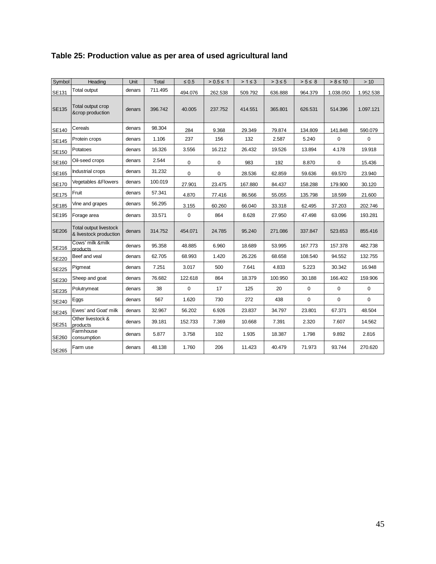<span id="page-44-0"></span>

| Table 25: Production value as per area of used agricultural land |
|------------------------------------------------------------------|
|------------------------------------------------------------------|

| Symbol       | Heading                                                 | Unit   | Total   | $\leq 0.5$  | $> 0.5 \le 1$ | $>1 \leq 3$ | $> 3 \leq 5$ | $> 5 \leq 8$ | $> 8 \leq 10$ | > 10        |
|--------------|---------------------------------------------------------|--------|---------|-------------|---------------|-------------|--------------|--------------|---------------|-------------|
| SE131        | Total output                                            | denars | 711.495 | 494.076     | 262.538       | 509.792     | 636.888      | 964.379      | 1.038.050     | 1.952.538   |
| <b>SE135</b> | Total output crop<br>&crop production                   | denars | 396.742 | 40.005      | 237.752       | 414.551     | 365.801      | 626.531      | 514.396       | 1.097.121   |
| SE140        | Cereals                                                 | denars | 98.304  | 284         | 9.368         | 29.349      | 79.874       | 134.809      | 141.848       | 590.079     |
| SE145        | Protein crops                                           | denars | 1.106   | 237         | 156           | 132         | 2.587        | 5.240        | $\mathbf 0$   | $\mathbf 0$ |
| <b>SE150</b> | Potatoes                                                | denars | 16.326  | 3.556       | 16.212        | 26.432      | 19.526       | 13.894       | 4.178         | 19.918      |
| SE160        | Oil-seed crops                                          | denars | 2.544   | 0           | $\mathbf 0$   | 983         | 192          | 8.870        | 0             | 15.436      |
| SE165        | Industrial crops                                        | denars | 31.232  | $\mathbf 0$ | $\mathbf 0$   | 28.536      | 62.859       | 59.636       | 69.570        | 23.940      |
| <b>SE170</b> | <b>Vegetables &amp; Flowers</b>                         | denars | 100.019 | 27.901      | 23.475        | 167.880     | 84.437       | 158.288      | 179.900       | 30.120      |
| <b>SE175</b> | Fruit                                                   | denars | 57.341  | 4.870       | 77.416        | 86.566      | 55.055       | 135.798      | 18.599        | 21.600      |
| SE185        | Vine and grapes                                         | denars | 56.295  | 3.155       | 60.260        | 66.040      | 33.318       | 62.495       | 37.203        | 202.746     |
| <b>SE195</b> | Forage area                                             | denars | 33.571  | $\mathsf 0$ | 864           | 8.628       | 27.950       | 47.498       | 63.096        | 193.281     |
| <b>SE206</b> | <b>Total output livestock</b><br>& livestock production | denars | 314.752 | 454.071     | 24.785        | 95.240      | 271.086      | 337.847      | 523.653       | 855.416     |
| SE216        | Cows' milk &milk<br>products                            | denars | 95.358  | 48.885      | 6.960         | 18.689      | 53.995       | 167.773      | 157.378       | 482.738     |
| <b>SE220</b> | Beef and veal                                           | denars | 62.705  | 68.993      | 1.420         | 26.226      | 68.658       | 108.540      | 94.552        | 132.755     |
| <b>SE225</b> | Pigmeat                                                 | denars | 7.251   | 3.017       | 500           | 7.641       | 4.833        | 5.223        | 30.342        | 16.948      |
| SE230        | Sheep and goat                                          | denars | 76.682  | 122.618     | 864           | 18.379      | 100.950      | 30.188       | 166.402       | 159.906     |
| <b>SE235</b> | Polutrymeat                                             | denars | 38      | $\mathbf 0$ | 17            | 125         | 20           | $\mathbf 0$  | $\mathbf 0$   | $\mathbf 0$ |
| SE240        | Eggs                                                    | denars | 567     | 1.620       | 730           | 272         | 438          | 0            | $\mathbf 0$   | $\mathbf 0$ |
| <b>SE245</b> | Ewes' and Goat' milk                                    | denars | 32.967  | 56.202      | 6.926         | 23.837      | 34.797       | 23.801       | 67.371        | 48.504      |
| SE251        | Other livestock &<br>products                           | denars | 39.181  | 152.733     | 7.369         | 10.668      | 7.391        | 2.320        | 7.607         | 14.562      |
| SE260        | Farmhouse<br>consumption                                | denars | 5.877   | 3.758       | 102           | 1.935       | 18.387       | 1.798        | 9.892         | 2.816       |
| SE265        | Farm use                                                | denars | 48.138  | 1.760       | 206           | 11.423      | 40.479       | 71.973       | 93.744        | 270.620     |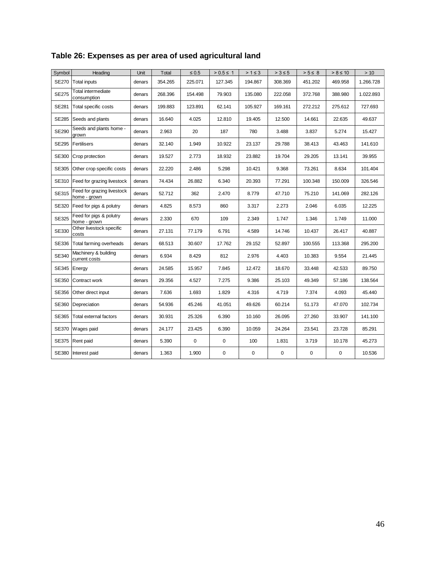<span id="page-45-0"></span>

| Table 26: Expenses as per area of used agricultural land |  |  |
|----------------------------------------------------------|--|--|
|                                                          |  |  |

| Symbol       | Heading                                    | Unit   | Total   | $\leq 0.5$ | $> 0.5 \le 1$ | $>1 \leq 3$ | $> 3 \leq 5$ | $> 5 \leq 8$ | $> 8 \le 10$ | >10       |
|--------------|--------------------------------------------|--------|---------|------------|---------------|-------------|--------------|--------------|--------------|-----------|
| <b>SE270</b> | <b>Total inputs</b>                        | denars | 354.265 | 225.071    | 127.345       | 194.867     | 308.369      | 451.202      | 469.958      | 1.266.728 |
| <b>SE275</b> | Total intermediate<br>consumption          | denars | 268.396 | 154.498    | 79.903        | 135.080     | 222.058      | 372.768      | 388.980      | 1.022.893 |
| <b>SE281</b> | Total specific costs                       | denars | 199.883 | 123.891    | 62.141        | 105.927     | 169.161      | 272.212      | 275.612      | 727.693   |
| <b>SE285</b> | Seeds and plants                           | denars | 16.640  | 4.025      | 12.810        | 19.405      | 12.500       | 14.661       | 22.635       | 49.637    |
| <b>SE290</b> | Seeds and plants home -<br>grown           | denars | 2.963   | 20         | 187           | 780         | 3.488        | 3.837        | 5.274        | 15.427    |
| <b>SE295</b> | <b>Fertilisers</b>                         | denars | 32.140  | 1.949      | 10.922        | 23.137      | 29.788       | 38.413       | 43.463       | 141.610   |
| SE300        | Crop protection                            | denars | 19.527  | 2.773      | 18.932        | 23.882      | 19.704       | 29.205       | 13.141       | 39.955    |
| SE305        | Other crop specific costs                  | denars | 22.220  | 2.486      | 5.298         | 10.421      | 9.368        | 73.261       | 8.634        | 101.404   |
| SE310        | Feed for grazing livestock                 | denars | 74.434  | 26.882     | 6.340         | 20.393      | 77.291       | 100.348      | 150.009      | 326.546   |
| <b>SE315</b> | Feed for grazing livestock<br>home - grown | denars | 52.712  | 362        | 2.470         | 8.779       | 47.710       | 75.210       | 141.069      | 282.126   |
| SE320        | Feed for pigs & polutry                    | denars | 4.825   | 8.573      | 860           | 3.317       | 2.273        | 2.046        | 6.035        | 12.225    |
| <b>SE325</b> | Feed for pigs & polutry<br>home - grown    | denars | 2.330   | 670        | 109           | 2.349       | 1.747        | 1.346        | 1.749        | 11.000    |
| SE330        | Other livestock specific<br>costs          | denars | 27.131  | 77.179     | 6.791         | 4.589       | 14.746       | 10.437       | 26.417       | 40.887    |
| SE336        | Total farming overheads                    | denars | 68.513  | 30.607     | 17.762        | 29.152      | 52.897       | 100.555      | 113.368      | 295.200   |
| SE340        | Machinery & building<br>current costs      | denars | 6.934   | 8.429      | 812           | 2.976       | 4.403        | 10.383       | 9.554        | 21.445    |
| <b>SE345</b> | Energy                                     | denars | 24.585  | 15.957     | 7.845         | 12.472      | 18.670       | 33.448       | 42.533       | 89.750    |
| SE350        | Contract work                              | denars | 29.356  | 4.527      | 7.275         | 9.386       | 25.103       | 49.349       | 57.186       | 138.564   |
| SE356        | Other direct input                         | denars | 7.636   | 1.693      | 1.829         | 4.316       | 4.719        | 7.374        | 4.093        | 45.440    |
| SE360        | Depreciation                               | denars | 54.936  | 45.246     | 41.051        | 49.626      | 60.214       | 51.173       | 47.070       | 102.734   |
| SE365        | Total external factors                     | denars | 30.931  | 25.326     | 6.390         | 10.160      | 26.095       | 27.260       | 33.907       | 141.100   |
| <b>SE370</b> | Wages paid                                 | denars | 24.177  | 23.425     | 6.390         | 10.059      | 24.264       | 23.541       | 23.728       | 85.291    |
| <b>SE375</b> | <b>Rent paid</b>                           | denars | 5.390   | 0          | $\mathbf 0$   | 100         | 1.831        | 3.719        | 10.178       | 45.273    |
| SE380        | Interest paid                              | denars | 1.363   | 1.900      | 0             | 0           | 0            | $\pmb{0}$    | 0            | 10.536    |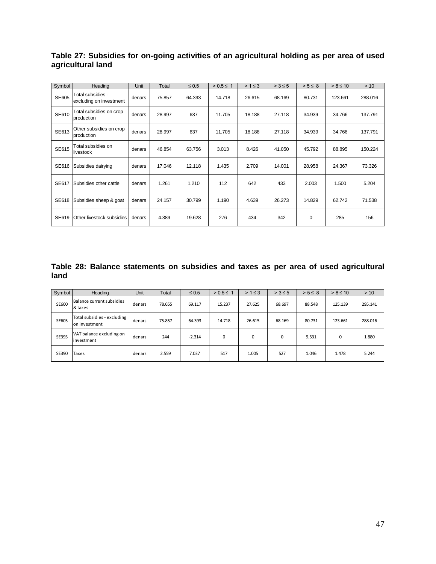| Symbol       | Heading                                      | Unit   | Total  | $\leq 0.5$ | $> 0.5 \le 1$ | $>1 \leq 3$ | $> 3 \leq 5$ | $> 5 \leq 8$ | $> 8 \le 10$ | >10     |
|--------------|----------------------------------------------|--------|--------|------------|---------------|-------------|--------------|--------------|--------------|---------|
| SE605        | Total subsidies -<br>excluding on investment | denars | 75.857 | 64.393     | 14.718        | 26.615      | 68.169       | 80.731       | 123.661      | 288.016 |
| SE610        | Total subsidies on crop<br>production        | denars | 28.997 | 637        | 11.705        | 18.188      | 27.118       | 34.939       | 34.766       | 137.791 |
| SE613        | Other subsidies on crop<br>production        | denars | 28.997 | 637        | 11.705        | 18.188      | 27.118       | 34.939       | 34.766       | 137.791 |
| SE615        | Total subsidies on<br>livestock              | denars | 46.854 | 63.756     | 3.013         | 8.426       | 41.050       | 45.792       | 88.895       | 150.224 |
| <b>SE616</b> | Subsidies dairying                           | denars | 17.046 | 12.118     | 1.435         | 2.709       | 14.001       | 28.958       | 24.367       | 73.326  |
| SE617        | Subsidies other cattle                       | denars | 1.261  | 1.210      | 112           | 642         | 433          | 2.003        | 1.500        | 5.204   |
| <b>SE618</b> | Subsidies sheep & goat                       | denars | 24.157 | 30.799     | 1.190         | 4.639       | 26.273       | 14.829       | 62.742       | 71.538  |
| <b>SE619</b> | Other livestock subsidies                    | denars | 4.389  | 19.628     | 276           | 434         | 342          | 0            | 285          | 156     |

<span id="page-46-0"></span>**Table 27: Subsidies for on-going activities of an agricultural holding as per area of used agricultural land**

<span id="page-46-1"></span>**Table 28: Balance statements on subsidies and taxes as per area of used agricultural land** 

| Symbol       | Heading                                      | Unit   | Total  | $\leq 0.5$ | $> 0.5 \le 1$ | $>1 \leq 3$ | $> 3 \leq 5$ | $> 5 \leq 8$ | $> 8 \le 10$ | > 10    |
|--------------|----------------------------------------------|--------|--------|------------|---------------|-------------|--------------|--------------|--------------|---------|
| <b>SE600</b> | Balance current subsidies<br>& taxes         | denars | 78.655 | 69.117     | 15.237        | 27.625      | 68.697       | 88.548       | 125.139      | 295.141 |
| <b>SE605</b> | Total subsidies - excluding<br>on investment | denars | 75.857 | 64.393     | 14.718        | 26.615      | 68.169       | 80.731       | 123.661      | 288.016 |
| SE395        | VAT balance excluding on<br>investment       | denars | 244    | $-2.314$   | $\Omega$      | $\Omega$    | $\Omega$     | 9.531        | $\Omega$     | 1.880   |
| SE390        | Taxes                                        | denars | 2.559  | 7.037      | 517           | 1.005       | 527          | 1.046        | 1.478        | 5.244   |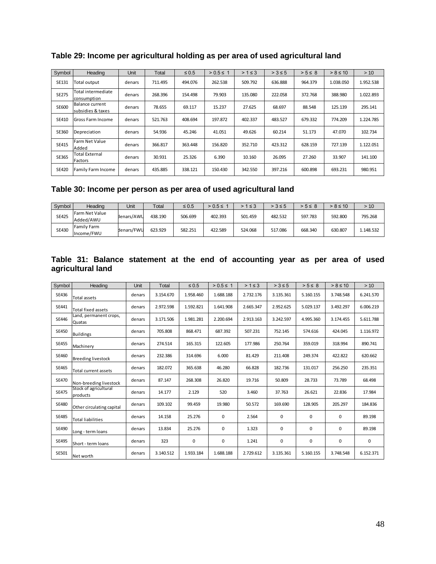| Symbol       | Heading                               | <b>Unit</b> | Total   | $\leq 0.5$ | $> 0.5 \le 1$ | $>1 \leq 3$ | $> 3 \leq 5$ | $> 5 \leq 8$ | $> 8 \le 10$ | >10       |
|--------------|---------------------------------------|-------------|---------|------------|---------------|-------------|--------------|--------------|--------------|-----------|
| SE131        | Total output                          | denars      | 711.495 | 494.076    | 262.538       | 509.792     | 636.888      | 964.379      | 1.038.050    | 1.952.538 |
| <b>SE275</b> | Total intermediate<br>consumption     | denars      | 268.396 | 154.498    | 79.903        | 135.080     | 222.058      | 372.768      | 388.980      | 1.022.893 |
| SE600        | Balance current<br>Isubsidies & taxes | denars      | 78.655  | 69.117     | 15.237        | 27.625      | 68.697       | 88.548       | 125.139      | 295.141   |
| SE410        | Gross Farm Income                     | denars      | 521.763 | 408.694    | 197.872       | 402.337     | 483.527      | 679.332      | 774.209      | 1.224.785 |
| SE360        | Depreciation                          | denars      | 54.936  | 45.246     | 41.051        | 49.626      | 60.214       | 51.173       | 47.070       | 102.734   |
| SE415        | Farm Net Value<br>Added               | denars      | 366.817 | 363.448    | 156.820       | 352.710     | 423.312      | 628.159      | 727.139      | 1.122.051 |
| SE365        | <b>Total External</b><br>Factors      | denars      | 30.931  | 25.326     | 6.390         | 10.160      | 26.095       | 27.260       | 33.907       | 141.100   |
| <b>SE420</b> | Family Farm Income                    | denars      | 435.885 | 338.121    | 150.430       | 342.550     | 397.216      | 600.898      | 693.231      | 980.951   |

<span id="page-47-0"></span>**Table 29: Income per agricultural holding as per area of used agricultural land** 

### <span id="page-47-1"></span>**Table 30: Income per person as per area of used agricultural land**

| Symbol       | Heading                          | Unit       | Total   | $\leq 0.5$ | $> 0.5 \leq$ | $>1 \leq 3$ | $> 3 \le 5$ | $> 5 \leq 8$ | $> 8 \le 10$ | > 10      |
|--------------|----------------------------------|------------|---------|------------|--------------|-------------|-------------|--------------|--------------|-----------|
| <b>SE425</b> | Farm Net Value<br>Added/AWU      | denars/AWU | 438.190 | 506.699    | 402.393      | 501.459     | 482.532     | 597.783      | 592.800      | 795.268   |
| SE430        | <b>Family Farm</b><br>Income/FWU | denars/FWU | 623.929 | 582.251    | 422.589      | 524.068     | 517.086     | 668.340      | 630.807      | 1.148.532 |

#### <span id="page-47-2"></span>**Table 31: Balance statement at the end of accounting year as per area of used agricultural land**

| Symbol       | Heading                           | <b>Unit</b> | Total     | $\leq 0.5$ | $> 0.5 \le 1$ | $>1 \leq 3$ | $> 3 \le 5$ | $> 5 \leq 8$ | $> 8 \le 10$ | >10       |
|--------------|-----------------------------------|-------------|-----------|------------|---------------|-------------|-------------|--------------|--------------|-----------|
| SE436        | <b>Total assets</b>               | denars      | 3.154.670 | 1.958.460  | 1.688.188     | 2.732.176   | 3.135.361   | 5.160.155    | 3.748.548    | 6.241.570 |
| SE441        | <b>Total fixed assets</b>         | denars      | 2.972.598 | 1.592.821  | 1.641.908     | 2.665.347   | 2.952.625   | 5.029.137    | 3.492.297    | 6.006.219 |
| <b>SE446</b> | Land, permanent crops,<br>Quatas  | denars      | 3.171.506 | 1.981.281  | 2.200.694     | 2.913.163   | 3.242.597   | 4.995.360    | 3.174.455    | 5.611.788 |
| <b>SE450</b> | <b>Buildings</b>                  | denars      | 705.808   | 868.471    | 687.392       | 507.231     | 752.145     | 574.616      | 424.045      | 1.116.972 |
| <b>SE455</b> | Machinery                         | denars      | 274.514   | 165.315    | 122.605       | 177.986     | 250.764     | 359.019      | 318.994      | 890.741   |
| SE460        | <b>Breeding livestock</b>         | denars      | 232.386   | 314.696    | 6.000         | 81.429      | 211.408     | 249.374      | 422.822      | 620.662   |
| SE465        | Total current assets              | denars      | 182.072   | 365.638    | 46.280        | 66.828      | 182.736     | 131.017      | 256.250      | 235.351   |
| <b>SE470</b> | Non-breeding livestock            | denars      | 87.147    | 268.308    | 26.820        | 19.716      | 50.809      | 28.733       | 73.789       | 68.498    |
| <b>SE475</b> | Stock of agricultural<br>products | denars      | 14.177    | 2.129      | 520           | 3.460       | 37.763      | 26.621       | 22.836       | 17.984    |
| <b>SE480</b> | Other circulating capital         | denars      | 109.102   | 99.459     | 19.980        | 50.572      | 169.690     | 128.905      | 205.297      | 184.836   |
| <b>SE485</b> | <b>Total liabilities</b>          | denars      | 14.158    | 25.276     | 0             | 2.564       | 0           | 0            | 0            | 89.198    |
| SE490        | Long - term loans                 | denars      | 13.834    | 25.276     | 0             | 1.323       | $\Omega$    | 0            | $\Omega$     | 89.198    |
| <b>SE495</b> | Short - term loans                | denars      | 323       | 0          | 0             | 1.241       | 0           | 0            | 0            | 0         |
| SE501        | Net worth                         | denars      | 3.140.512 | 1.933.184  | 1.688.188     | 2.729.612   | 3.135.361   | 5.160.155    | 3.748.548    | 6.152.371 |